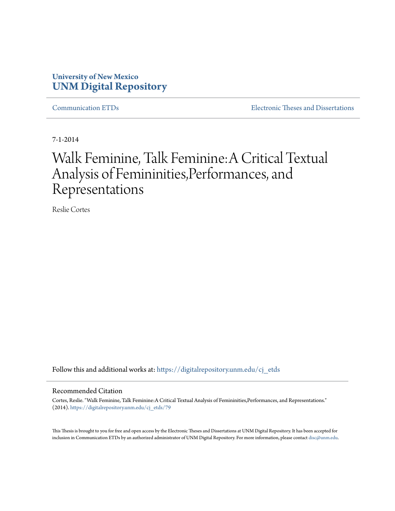# **University of New Mexico [UNM Digital Repository](https://digitalrepository.unm.edu?utm_source=digitalrepository.unm.edu%2Fcj_etds%2F79&utm_medium=PDF&utm_campaign=PDFCoverPages)**

[Communication ETDs](https://digitalrepository.unm.edu/cj_etds?utm_source=digitalrepository.unm.edu%2Fcj_etds%2F79&utm_medium=PDF&utm_campaign=PDFCoverPages) [Electronic Theses and Dissertations](https://digitalrepository.unm.edu/etds?utm_source=digitalrepository.unm.edu%2Fcj_etds%2F79&utm_medium=PDF&utm_campaign=PDFCoverPages)

7-1-2014

# Walk Feminine, Talk Feminine:A Critical Textual Analysis of Femininities,Performances, and Representations

Reslie Cortes

Follow this and additional works at: [https://digitalrepository.unm.edu/cj\\_etds](https://digitalrepository.unm.edu/cj_etds?utm_source=digitalrepository.unm.edu%2Fcj_etds%2F79&utm_medium=PDF&utm_campaign=PDFCoverPages)

#### Recommended Citation

Cortes, Reslie. "Walk Feminine, Talk Feminine:A Critical Textual Analysis of Femininities,Performances, and Representations." (2014). [https://digitalrepository.unm.edu/cj\\_etds/79](https://digitalrepository.unm.edu/cj_etds/79?utm_source=digitalrepository.unm.edu%2Fcj_etds%2F79&utm_medium=PDF&utm_campaign=PDFCoverPages)

This Thesis is brought to you for free and open access by the Electronic Theses and Dissertations at UNM Digital Repository. It has been accepted for inclusion in Communication ETDs by an authorized administrator of UNM Digital Repository. For more information, please contact [disc@unm.edu.](mailto:disc@unm.edu)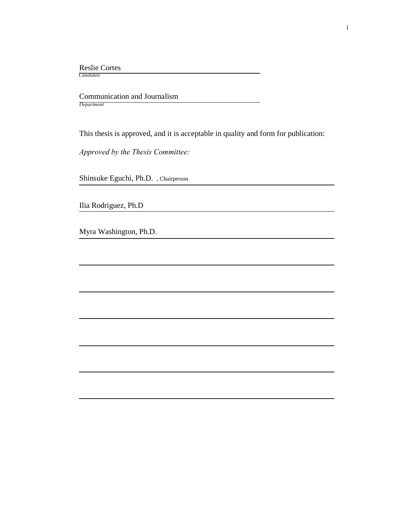Reslie Cortes

 *Candidate*

 Communication and Journalism *Department*

This thesis is approved, and it is acceptable in quality and form for publication:

*Approved by the Thesis Committee:*

Shinsuke Eguchi, Ph.D. , Chairperson

Ilia Rodriguez, Ph.D

Myra Washington, Ph.D.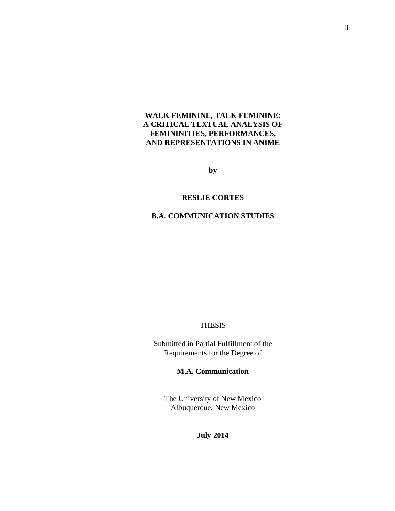# **WALK FEMININE, TALK FEMININE: A CRITICAL TEXTUAL ANALYSIS OF FEMININITIES, PERFORMANCES, AND REPRESENTATIONS IN ANIME**

**by**

# **RESLIE CORTES**

# **B.A. COMMUNICATION STUDIES**

# THESIS

Submitted in Partial Fulfillment of the Requirements for the Degree of

**M.A. Communication**

The University of New Mexico Albuquerque, New Mexico

**July 2014**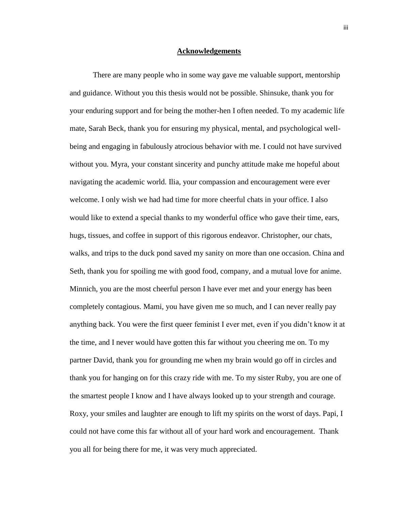# **Acknowledgements**

There are many people who in some way gave me valuable support, mentorship and guidance. Without you this thesis would not be possible. Shinsuke, thank you for your enduring support and for being the mother-hen I often needed. To my academic life mate, Sarah Beck, thank you for ensuring my physical, mental, and psychological wellbeing and engaging in fabulously atrocious behavior with me. I could not have survived without you. Myra, your constant sincerity and punchy attitude make me hopeful about navigating the academic world. Ilia, your compassion and encouragement were ever welcome. I only wish we had had time for more cheerful chats in your office. I also would like to extend a special thanks to my wonderful office who gave their time, ears, hugs, tissues, and coffee in support of this rigorous endeavor. Christopher, our chats, walks, and trips to the duck pond saved my sanity on more than one occasion. China and Seth, thank you for spoiling me with good food, company, and a mutual love for anime. Minnich, you are the most cheerful person I have ever met and your energy has been completely contagious. Mami, you have given me so much, and I can never really pay anything back. You were the first queer feminist I ever met, even if you didn't know it at the time, and I never would have gotten this far without you cheering me on. To my partner David, thank you for grounding me when my brain would go off in circles and thank you for hanging on for this crazy ride with me. To my sister Ruby, you are one of the smartest people I know and I have always looked up to your strength and courage. Roxy, your smiles and laughter are enough to lift my spirits on the worst of days. Papi, I could not have come this far without all of your hard work and encouragement. Thank you all for being there for me, it was very much appreciated.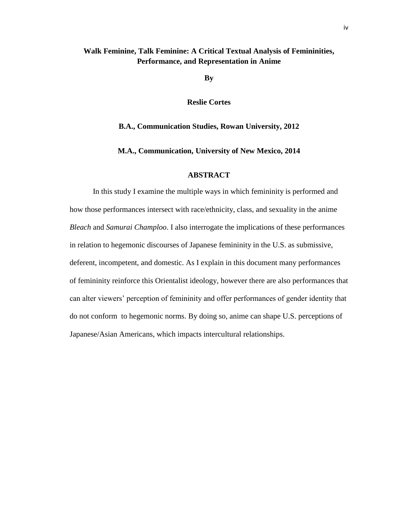# **Walk Feminine, Talk Feminine: A Critical Textual Analysis of Femininities, Performance, and Representation in Anime**

**By**

**Reslie Cortes**

**B.A., Communication Studies, Rowan University, 2012**

**M.A., Communication, University of New Mexico, 2014**

# **ABSTRACT**

In this study I examine the multiple ways in which femininity is performed and how those performances intersect with race/ethnicity, class, and sexuality in the anime *Bleach* and *Samurai Champloo*. I also interrogate the implications of these performances in relation to hegemonic discourses of Japanese femininity in the U.S. as submissive, deferent, incompetent, and domestic. As I explain in this document many performances of femininity reinforce this Orientalist ideology, however there are also performances that can alter viewers' perception of femininity and offer performances of gender identity that do not conform to hegemonic norms. By doing so, anime can shape U.S. perceptions of Japanese/Asian Americans, which impacts intercultural relationships.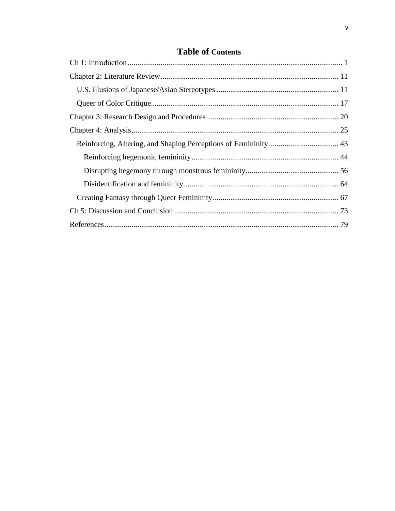# **Table of Contents**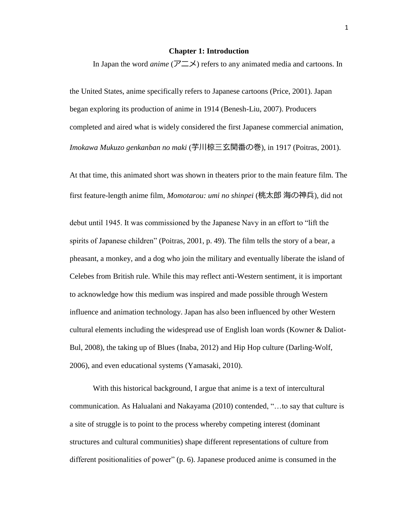#### **Chapter 1: Introduction**

<span id="page-6-0"></span>In Japan the word *anime* (アニメ) refers to any animated media and cartoons. In

the United States, anime specifically refers to Japanese cartoons (Price, 2001). Japan began exploring its production of anime in 1914 (Benesh-Liu, 2007). Producers completed and aired what is widely considered the first Japanese commercial animation, *Imokawa Mukuzo genkanban no maki* (芋川椋三玄関番の巻), in 1917 (Poitras, 2001).

At that time, this animated short was shown in theaters prior to the main feature film. The first feature-length anime film, *Momotarou: umi no shinpei* (桃太郎 海の神兵), did not

debut until 1945. It was commissioned by the Japanese Navy in an effort to "lift the spirits of Japanese children" (Poitras, 2001, p. 49). The film tells the story of a bear, a pheasant, a monkey, and a dog who join the military and eventually liberate the island of Celebes from British rule. While this may reflect anti-Western sentiment, it is important to acknowledge how this medium was inspired and made possible through Western influence and animation technology. Japan has also been influenced by other Western cultural elements including the widespread use of English loan words (Kowner & Daliot-Bul, 2008), the taking up of Blues (Inaba, 2012) and Hip Hop culture (Darling-Wolf, 2006), and even educational systems (Yamasaki, 2010).

With this historical background, I argue that anime is a text of intercultural communication. As Halualani and Nakayama (2010) contended, "…to say that culture is a site of struggle is to point to the process whereby competing interest (dominant structures and cultural communities) shape different representations of culture from different positionalities of power" (p. 6). Japanese produced anime is consumed in the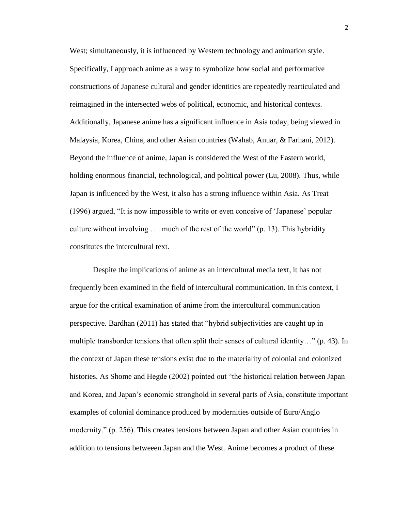West; simultaneously, it is influenced by Western technology and animation style. Specifically, I approach anime as a way to symbolize how social and performative constructions of Japanese cultural and gender identities are repeatedly rearticulated and reimagined in the intersected webs of political, economic, and historical contexts. Additionally, Japanese anime has a significant influence in Asia today, being viewed in Malaysia, Korea, China, and other Asian countries (Wahab, Anuar, & Farhani, 2012). Beyond the influence of anime, Japan is considered the West of the Eastern world, holding enormous financial, technological, and political power (Lu, 2008). Thus, while Japan is influenced by the West, it also has a strong influence within Asia. As Treat (1996) argued, "It is now impossible to write or even conceive of 'Japanese' popular culture without involving . . . much of the rest of the world" (p. 13). This hybridity constitutes the intercultural text.

Despite the implications of anime as an intercultural media text, it has not frequently been examined in the field of intercultural communication. In this context, I argue for the critical examination of anime from the intercultural communication perspective. Bardhan (2011) has stated that "hybrid subjectivities are caught up in multiple transborder tensions that often split their senses of cultural identity…" (p. 43). In the context of Japan these tensions exist due to the materiality of colonial and colonized histories. As Shome and Hegde (2002) pointed out "the historical relation between Japan and Korea, and Japan's economic stronghold in several parts of Asia, constitute important examples of colonial dominance produced by modernities outside of Euro/Anglo modernity." (p. 256). This creates tensions between Japan and other Asian countries in addition to tensions betweeen Japan and the West. Anime becomes a product of these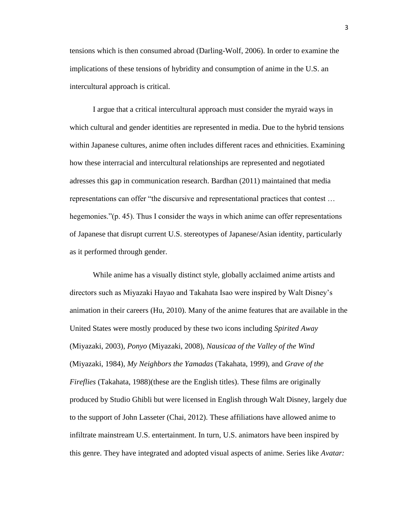tensions which is then consumed abroad (Darling-Wolf, 2006). In order to examine the implications of these tensions of hybridity and consumption of anime in the U.S. an intercultural approach is critical.

I argue that a critical intercultural approach must consider the myraid ways in which cultural and gender identities are represented in media. Due to the hybrid tensions within Japanese cultures, anime often includes different races and ethnicities. Examining how these interracial and intercultural relationships are represented and negotiated adresses this gap in communication research. Bardhan (2011) maintained that media representations can offer "the discursive and representational practices that contest … hegemonies."(p. 45). Thus I consider the ways in which anime can offer representations of Japanese that disrupt current U.S. stereotypes of Japanese/Asian identity, particularly as it performed through gender.

While anime has a visually distinct style, globally acclaimed anime artists and directors such as Miyazaki Hayao and Takahata Isao were inspired by Walt Disney's animation in their careers (Hu, 2010). Many of the anime features that are available in the United States were mostly produced by these two icons including *Spirited Away* (Miyazaki, 2003)*, Ponyo* (Miyazaki, 2008)*, Nausicaa of the Valley of the Wind* (Miyazaki, 1984)*, My Neighbors the Yamadas* (Takahata, 1999)*,* and *Grave of the Fireflies* (Takahata, 1988)(these are the English titles). These films are originally produced by Studio Ghibli but were licensed in English through Walt Disney, largely due to the support of John Lasseter (Chai, 2012). These affiliations have allowed anime to infiltrate mainstream U.S. entertainment. In turn, U.S. animators have been inspired by this genre. They have integrated and adopted visual aspects of anime. Series like *Avatar:*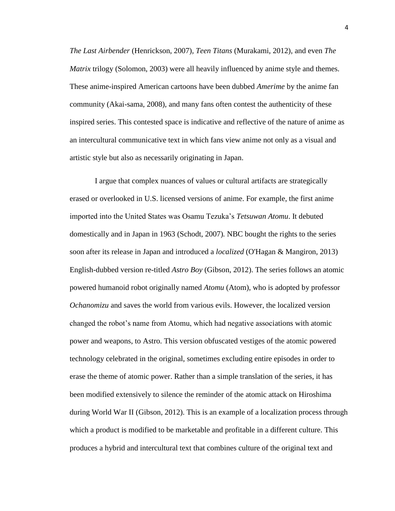*The Last Airbender* (Henrickson, 2007)*, Teen Titans* (Murakami, 2012)*,* and even *The Matrix* trilogy (Solomon, 2003) were all heavily influenced by anime style and themes. These anime-inspired American cartoons have been dubbed *Amerime* by the anime fan community (Akai-sama, 2008), and many fans often contest the authenticity of these inspired series. This contested space is indicative and reflective of the nature of anime as an intercultural communicative text in which fans view anime not only as a visual and artistic style but also as necessarily originating in Japan.

I argue that complex nuances of values or cultural artifacts are strategically erased or overlooked in U.S. licensed versions of anime. For example, the first anime imported into the United States was Osamu Tezuka's *Tetsuwan Atomu*. It debuted domestically and in Japan in 1963 (Schodt, 2007)*.* NBC bought the rights to the series soon after its release in Japan and introduced a *localized* (O'Hagan & Mangiron, 2013) English-dubbed version re-titled *Astro Boy* (Gibson, 2012). The series follows an atomic powered humanoid robot originally named *Atomu* (Atom), who is adopted by professor *Ochanomizu* and saves the world from various evils. However, the localized version changed the robot's name from Atomu, which had negative associations with atomic power and weapons, to Astro. This version obfuscated vestiges of the atomic powered technology celebrated in the original, sometimes excluding entire episodes in order to erase the theme of atomic power. Rather than a simple translation of the series, it has been modified extensively to silence the reminder of the atomic attack on Hiroshima during World War II (Gibson, 2012). This is an example of a localization process through which a product is modified to be marketable and profitable in a different culture. This produces a hybrid and intercultural text that combines culture of the original text and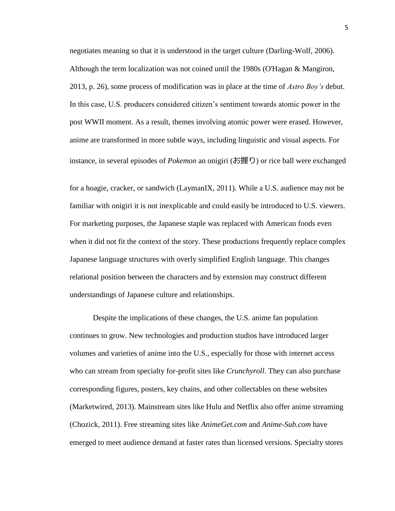negotiates meaning so that it is understood in the target culture (Darling-Wolf, 2006). Although the term localization was not coined until the 1980s (O'Hagan & Mangiron, 2013, p. 26), some process of modification was in place at the time of *Astro Boy's* debut. In this case, U.S. producers considered citizen's sentiment towards atomic power in the post WWII moment. As a result, themes involving atomic power were erased. However, anime are transformed in more subtle ways, including linguistic and visual aspects. For instance, in several episodes of *Pokemon* an onigiri (お握り) or rice ball were exchanged

for a hoagie, cracker, or sandwich (LaymanIX, 2011). While a U.S. audience may not be familiar with onigiri it is not inexplicable and could easily be introduced to U.S. viewers. For marketing purposes, the Japanese staple was replaced with American foods even when it did not fit the context of the story. These productions frequently replace complex Japanese language structures with overly simplified English language. This changes relational position between the characters and by extension may construct different understandings of Japanese culture and relationships.

Despite the implications of these changes, the U.S. anime fan population continues to grow. New technologies and production studios have introduced larger volumes and varieties of anime into the U.S., especially for those with internet access who can stream from specialty for-profit sites like *Crunchyroll*. They can also purchase corresponding figures, posters, key chains, and other collectables on these websites (Marketwired, 2013). Mainstream sites like Hulu and Netflix also offer anime streaming (Chozick, 2011). Free streaming sites like *AnimeGet.com* and *Anime-Sub.com* have emerged to meet audience demand at faster rates than licensed versions. Specialty stores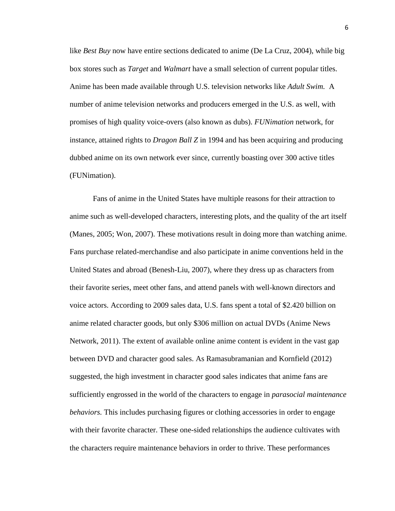like *Best Buy* now have entire sections dedicated to anime (De La Cruz, 2004), while big box stores such as *Target* and *Walmart* have a small selection of current popular titles. Anime has been made available through U.S. television networks like *Adult Swim.* A number of anime television networks and producers emerged in the U.S. as well, with promises of high quality voice-overs (also known as dubs). *FUNimation* network, for instance, attained rights to *Dragon Ball Z* in 1994 and has been acquiring and producing dubbed anime on its own network ever since, currently boasting over 300 active titles (FUNimation).

Fans of anime in the United States have multiple reasons for their attraction to anime such as well-developed characters, interesting plots, and the quality of the art itself (Manes, 2005; Won, 2007). These motivations result in doing more than watching anime. Fans purchase related-merchandise and also participate in anime conventions held in the United States and abroad (Benesh-Liu, 2007), where they dress up as characters from their favorite series, meet other fans, and attend panels with well-known directors and voice actors. According to 2009 sales data, U.S. fans spent a total of \$2.420 billion on anime related character goods, but only \$306 million on actual DVDs (Anime News Network, 2011). The extent of available online anime content is evident in the vast gap between DVD and character good sales. As Ramasubramanian and Kornfield (2012) suggested, the high investment in character good sales indicates that anime fans are sufficiently engrossed in the world of the characters to engage in *parasocial maintenance behaviors.* This includes purchasing figures or clothing accessories in order to engage with their favorite character. These one-sided relationships the audience cultivates with the characters require maintenance behaviors in order to thrive. These performances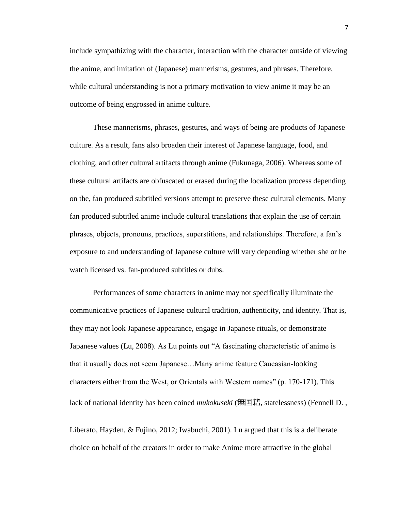include sympathizing with the character, interaction with the character outside of viewing the anime, and imitation of (Japanese) mannerisms, gestures, and phrases. Therefore, while cultural understanding is not a primary motivation to view anime it may be an outcome of being engrossed in anime culture.

These mannerisms, phrases, gestures, and ways of being are products of Japanese culture. As a result, fans also broaden their interest of Japanese language, food, and clothing, and other cultural artifacts through anime (Fukunaga, 2006). Whereas some of these cultural artifacts are obfuscated or erased during the localization process depending on the, fan produced subtitled versions attempt to preserve these cultural elements. Many fan produced subtitled anime include cultural translations that explain the use of certain phrases, objects, pronouns, practices, superstitions, and relationships. Therefore, a fan's exposure to and understanding of Japanese culture will vary depending whether she or he watch licensed vs. fan-produced subtitles or dubs.

Performances of some characters in anime may not specifically illuminate the communicative practices of Japanese cultural tradition, authenticity, and identity. That is, they may not look Japanese appearance, engage in Japanese rituals, or demonstrate Japanese values (Lu, 2008). As Lu points out "A fascinating characteristic of anime is that it usually does not seem Japanese…Many anime feature Caucasian-looking characters either from the West, or Orientals with Western names" (p. 170-171). This lack of national identity has been coined *mukokuseki* (無国籍, statelessness) (Fennell D. ,

Liberato, Hayden, & Fujino, 2012; Iwabuchi, 2001). Lu argued that this is a deliberate choice on behalf of the creators in order to make Anime more attractive in the global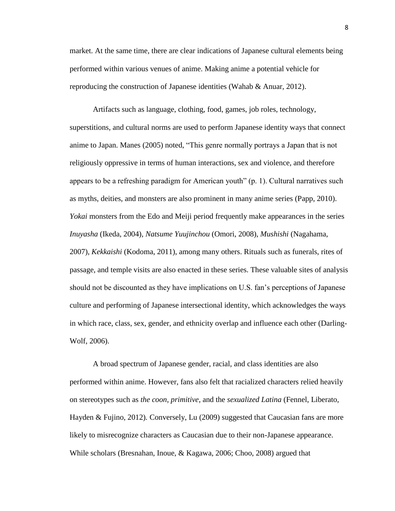market. At the same time, there are clear indications of Japanese cultural elements being performed within various venues of anime. Making anime a potential vehicle for reproducing the construction of Japanese identities (Wahab & Anuar, 2012).

Artifacts such as language, clothing, food, games, job roles, technology, superstitions, and cultural norms are used to perform Japanese identity ways that connect anime to Japan. Manes (2005) noted, "This genre normally portrays a Japan that is not religiously oppressive in terms of human interactions, sex and violence, and therefore appears to be a refreshing paradigm for American youth" (p. 1). Cultural narratives such as myths, deities, and monsters are also prominent in many anime series (Papp, 2010). *Yokai* monsters from the Edo and Meiji period frequently make appearances in the series *Inuyasha* (Ikeda, 2004)*, Natsume Yuujinchou* (Omori, 2008)*, Mushishi* (Nagahama, 2007)*, Kekkaishi* (Kodoma, 2011), among many others. Rituals such as funerals, rites of passage, and temple visits are also enacted in these series. These valuable sites of analysis should not be discounted as they have implications on U.S. fan's perceptions of Japanese culture and performing of Japanese intersectional identity, which acknowledges the ways in which race, class, sex, gender, and ethnicity overlap and influence each other (Darling-Wolf, 2006).

A broad spectrum of Japanese gender, racial, and class identities are also performed within anime. However, fans also felt that racialized characters relied heavily on stereotypes such as *the coon*, *primitive*, and the *sexualized Latina* (Fennel, Liberato, Hayden & Fujino, 2012)*.* Conversely, Lu (2009) suggested that Caucasian fans are more likely to misrecognize characters as Caucasian due to their non-Japanese appearance. While scholars (Bresnahan, Inoue, & Kagawa, 2006; Choo, 2008) argued that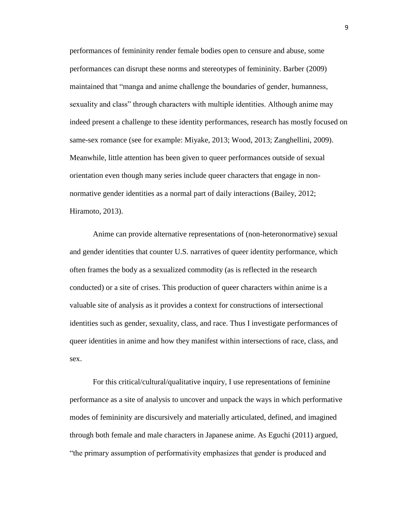performances of femininity render female bodies open to censure and abuse, some performances can disrupt these norms and stereotypes of femininity. Barber (2009) maintained that "manga and anime challenge the boundaries of gender, humanness, sexuality and class" through characters with multiple identities. Although anime may indeed present a challenge to these identity performances, research has mostly focused on same-sex romance (see for example: Miyake, 2013; Wood, 2013; Zanghellini, 2009). Meanwhile, little attention has been given to queer performances outside of sexual orientation even though many series include queer characters that engage in nonnormative gender identities as a normal part of daily interactions (Bailey, 2012; Hiramoto, 2013).

Anime can provide alternative representations of (non-heteronormative) sexual and gender identities that counter U.S. narratives of queer identity performance, which often frames the body as a sexualized commodity (as is reflected in the research conducted) or a site of crises. This production of queer characters within anime is a valuable site of analysis as it provides a context for constructions of intersectional identities such as gender, sexuality, class, and race. Thus I investigate performances of queer identities in anime and how they manifest within intersections of race, class, and sex.

For this critical/cultural/qualitative inquiry, I use representations of feminine performance as a site of analysis to uncover and unpack the ways in which performative modes of femininity are discursively and materially articulated, defined, and imagined through both female and male characters in Japanese anime. As Eguchi (2011) argued, "the primary assumption of performativity emphasizes that gender is produced and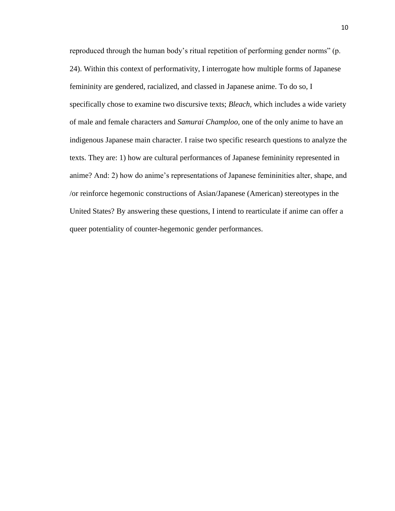reproduced through the human body's ritual repetition of performing gender norms" (p. 24). Within this context of performativity, I interrogate how multiple forms of Japanese femininity are gendered, racialized, and classed in Japanese anime. To do so, I specifically chose to examine two discursive texts; *Bleach,* which includes a wide variety of male and female characters and *Samurai Champloo,* one of the only anime to have an indigenous Japanese main character. I raise two specific research questions to analyze the texts. They are: 1) how are cultural performances of Japanese femininity represented in anime? And: 2) how do anime's representations of Japanese femininities alter, shape, and /or reinforce hegemonic constructions of Asian/Japanese (American) stereotypes in the United States? By answering these questions, I intend to rearticulate if anime can offer a queer potentiality of counter-hegemonic gender performances.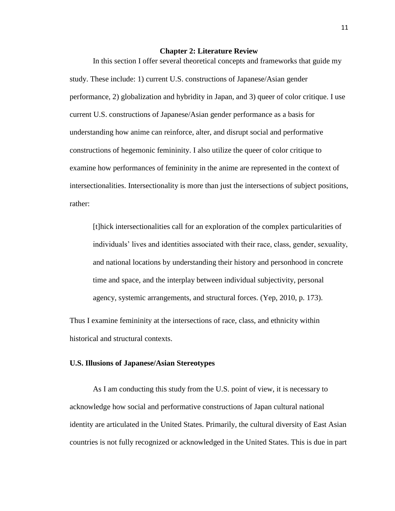## **Chapter 2: Literature Review**

<span id="page-16-0"></span>In this section I offer several theoretical concepts and frameworks that guide my study. These include: 1) current U.S. constructions of Japanese/Asian gender performance, 2) globalization and hybridity in Japan, and 3) queer of color critique. I use current U.S. constructions of Japanese/Asian gender performance as a basis for understanding how anime can reinforce, alter, and disrupt social and performative constructions of hegemonic femininity. I also utilize the queer of color critique to examine how performances of femininity in the anime are represented in the context of intersectionalities. Intersectionality is more than just the intersections of subject positions, rather:

[t]hick intersectionalities call for an exploration of the complex particularities of individuals' lives and identities associated with their race, class, gender, sexuality, and national locations by understanding their history and personhood in concrete time and space, and the interplay between individual subjectivity, personal agency, systemic arrangements, and structural forces. (Yep, 2010, p. 173).

Thus I examine femininity at the intersections of race, class, and ethnicity within historical and structural contexts.

# <span id="page-16-1"></span>**U.S. Illusions of Japanese/Asian Stereotypes**

As I am conducting this study from the U.S. point of view, it is necessary to acknowledge how social and performative constructions of Japan cultural national identity are articulated in the United States. Primarily, the cultural diversity of East Asian countries is not fully recognized or acknowledged in the United States. This is due in part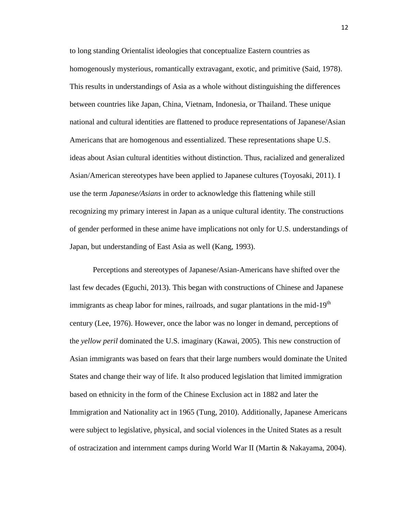to long standing Orientalist ideologies that conceptualize Eastern countries as homogenously mysterious, romantically extravagant, exotic, and primitive (Said, 1978). This results in understandings of Asia as a whole without distinguishing the differences between countries like Japan, China, Vietnam, Indonesia, or Thailand. These unique national and cultural identities are flattened to produce representations of Japanese/Asian Americans that are homogenous and essentialized. These representations shape U.S. ideas about Asian cultural identities without distinction. Thus, racialized and generalized Asian/American stereotypes have been applied to Japanese cultures (Toyosaki, 2011). I use the term *Japanese/Asians* in order to acknowledge this flattening while still recognizing my primary interest in Japan as a unique cultural identity. The constructions of gender performed in these anime have implications not only for U.S. understandings of Japan, but understanding of East Asia as well (Kang, 1993).

Perceptions and stereotypes of Japanese/Asian-Americans have shifted over the last few decades (Eguchi, 2013). This began with constructions of Chinese and Japanese immigrants as cheap labor for mines, railroads, and sugar plantations in the mid-19<sup>th</sup> century (Lee, 1976). However, once the labor was no longer in demand, perceptions of the *yellow peril* dominated the U.S. imaginary (Kawai, 2005). This new construction of Asian immigrants was based on fears that their large numbers would dominate the United States and change their way of life. It also produced legislation that limited immigration based on ethnicity in the form of the Chinese Exclusion act in 1882 and later the Immigration and Nationality act in 1965 (Tung, 2010). Additionally, Japanese Americans were subject to legislative, physical, and social violences in the United States as a result of ostracization and internment camps during World War II (Martin & Nakayama, 2004).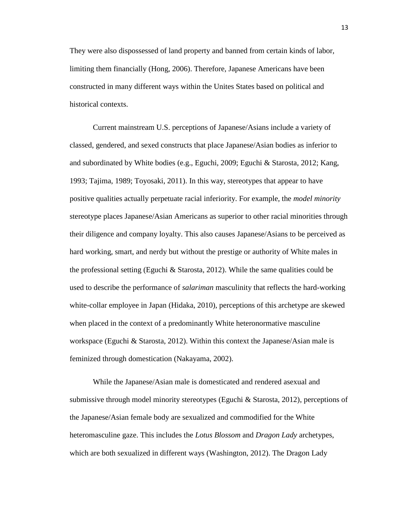They were also dispossessed of land property and banned from certain kinds of labor, limiting them financially (Hong, 2006). Therefore, Japanese Americans have been constructed in many different ways within the Unites States based on political and historical contexts.

Current mainstream U.S. perceptions of Japanese/Asians include a variety of classed, gendered, and sexed constructs that place Japanese/Asian bodies as inferior to and subordinated by White bodies (e.g., Eguchi, 2009; Eguchi & Starosta, 2012; Kang, 1993; Tajima, 1989; Toyosaki, 2011). In this way, stereotypes that appear to have positive qualities actually perpetuate racial inferiority. For example, the *model minority* stereotype places Japanese/Asian Americans as superior to other racial minorities through their diligence and company loyalty. This also causes Japanese/Asians to be perceived as hard working, smart, and nerdy but without the prestige or authority of White males in the professional setting (Eguchi & Starosta, 2012). While the same qualities could be used to describe the performance of *salariman* masculinity that reflects the hard-working white-collar employee in Japan (Hidaka, 2010), perceptions of this archetype are skewed when placed in the context of a predominantly White heteronormative masculine workspace (Eguchi & Starosta, 2012). Within this context the Japanese/Asian male is feminized through domestication (Nakayama, 2002).

While the Japanese/Asian male is domesticated and rendered asexual and submissive through model minority stereotypes (Eguchi & Starosta, 2012), perceptions of the Japanese/Asian female body are sexualized and commodified for the White heteromasculine gaze. This includes the *Lotus Blossom* and *Dragon Lady* archetypes, which are both sexualized in different ways (Washington, 2012). The Dragon Lady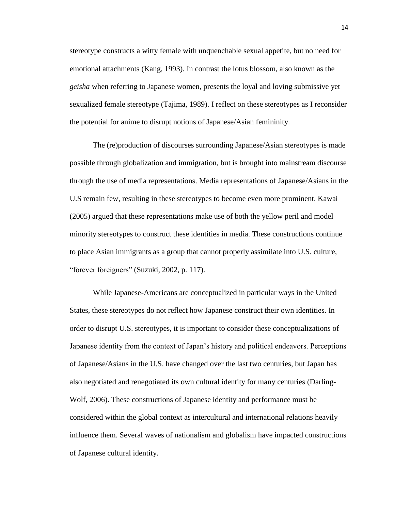stereotype constructs a witty female with unquenchable sexual appetite, but no need for emotional attachments (Kang, 1993). In contrast the lotus blossom, also known as the *geisha* when referring to Japanese women, presents the loyal and loving submissive yet sexualized female stereotype (Tajima, 1989). I reflect on these stereotypes as I reconsider the potential for anime to disrupt notions of Japanese/Asian femininity.

The (re)production of discourses surrounding Japanese/Asian stereotypes is made possible through globalization and immigration, but is brought into mainstream discourse through the use of media representations. Media representations of Japanese/Asians in the U.S remain few, resulting in these stereotypes to become even more prominent. Kawai (2005) argued that these representations make use of both the yellow peril and model minority stereotypes to construct these identities in media. These constructions continue to place Asian immigrants as a group that cannot properly assimilate into U.S. culture, "forever foreigners" (Suzuki, 2002, p. 117).

While Japanese-Americans are conceptualized in particular ways in the United States, these stereotypes do not reflect how Japanese construct their own identities. In order to disrupt U.S. stereotypes, it is important to consider these conceptualizations of Japanese identity from the context of Japan's history and political endeavors. Perceptions of Japanese/Asians in the U.S. have changed over the last two centuries, but Japan has also negotiated and renegotiated its own cultural identity for many centuries (Darling-Wolf, 2006). These constructions of Japanese identity and performance must be considered within the global context as intercultural and international relations heavily influence them. Several waves of nationalism and globalism have impacted constructions of Japanese cultural identity.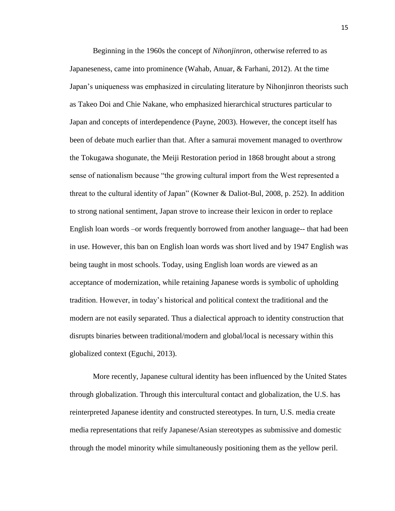Beginning in the 1960s the concept of *Nihonjinron*, otherwise referred to as Japaneseness, came into prominence (Wahab, Anuar, & Farhani, 2012). At the time Japan's uniqueness was emphasized in circulating literature by Nihonjinron theorists such as Takeo Doi and Chie Nakane, who emphasized hierarchical structures particular to Japan and concepts of interdependence (Payne, 2003). However, the concept itself has been of debate much earlier than that. After a samurai movement managed to overthrow the Tokugawa shogunate, the Meiji Restoration period in 1868 brought about a strong sense of nationalism because "the growing cultural import from the West represented a threat to the cultural identity of Japan" (Kowner & Daliot-Bul, 2008, p. 252). In addition to strong national sentiment, Japan strove to increase their lexicon in order to replace English loan words –or words frequently borrowed from another language-- that had been in use. However, this ban on English loan words was short lived and by 1947 English was being taught in most schools. Today, using English loan words are viewed as an acceptance of modernization, while retaining Japanese words is symbolic of upholding tradition. However, in today's historical and political context the traditional and the modern are not easily separated. Thus a dialectical approach to identity construction that disrupts binaries between traditional/modern and global/local is necessary within this globalized context (Eguchi, 2013).

More recently, Japanese cultural identity has been influenced by the United States through globalization. Through this intercultural contact and globalization, the U.S. has reinterpreted Japanese identity and constructed stereotypes. In turn, U.S. media create media representations that reify Japanese/Asian stereotypes as submissive and domestic through the model minority while simultaneously positioning them as the yellow peril.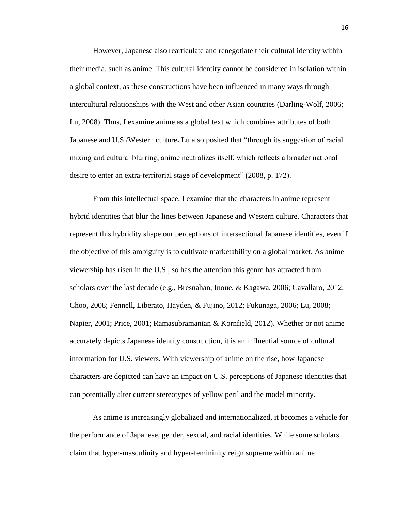However, Japanese also rearticulate and renegotiate their cultural identity within their media, such as anime. This cultural identity cannot be considered in isolation within a global context, as these constructions have been influenced in many ways through intercultural relationships with the West and other Asian countries (Darling-Wolf, 2006; Lu, 2008). Thus, I examine anime as a global text which combines attributes of both Japanese and U.S./Western culture**.** Lu also posited that "through its suggestion of racial mixing and cultural blurring, anime neutralizes itself, which reflects a broader national desire to enter an extra-territorial stage of development" (2008, p. 172).

From this intellectual space, I examine that the characters in anime represent hybrid identities that blur the lines between Japanese and Western culture. Characters that represent this hybridity shape our perceptions of intersectional Japanese identities, even if the objective of this ambiguity is to cultivate marketability on a global market. As anime viewership has risen in the U.S., so has the attention this genre has attracted from scholars over the last decade (e.g., Bresnahan, Inoue, & Kagawa, 2006; Cavallaro, 2012; Choo, 2008; Fennell, Liberato, Hayden, & Fujino, 2012; Fukunaga, 2006; Lu, 2008; Napier, 2001; Price, 2001; Ramasubramanian & Kornfield, 2012). Whether or not anime accurately depicts Japanese identity construction, it is an influential source of cultural information for U.S. viewers. With viewership of anime on the rise, how Japanese characters are depicted can have an impact on U.S. perceptions of Japanese identities that can potentially alter current stereotypes of yellow peril and the model minority.

As anime is increasingly globalized and internationalized, it becomes a vehicle for the performance of Japanese, gender, sexual, and racial identities. While some scholars claim that hyper-masculinity and hyper-femininity reign supreme within anime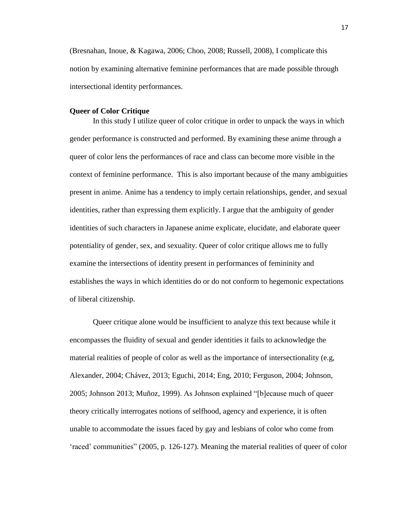(Bresnahan, Inoue, & Kagawa, 2006; Choo, 2008; Russell, 2008), I complicate this notion by examining alternative feminine performances that are made possible through intersectional identity performances.

## <span id="page-22-0"></span>**Queer of Color Critique**

In this study I utilize queer of color critique in order to unpack the ways in which gender performance is constructed and performed. By examining these anime through a queer of color lens the performances of race and class can become more visible in the context of feminine performance. This is also important because of the many ambiguities present in anime. Anime has a tendency to imply certain relationships, gender, and sexual identities, rather than expressing them explicitly. I argue that the ambiguity of gender identities of such characters in Japanese anime explicate, elucidate, and elaborate queer potentiality of gender, sex, and sexuality. Queer of color critique allows me to fully examine the intersections of identity present in performances of femininity and establishes the ways in which identities do or do not conform to hegemonic expectations of liberal citizenship.

Queer critique alone would be insufficient to analyze this text because while it encompasses the fluidity of sexual and gender identities it fails to acknowledge the material realities of people of color as well as the importance of intersectionality (e.g, Alexander, 2004; Chávez, 2013; Eguchi, 2014; Eng, 2010; Ferguson, 2004; Johnson, 2005; Johnson 2013; Muñoz, 1999). As Johnson explained "[b]ecause much of queer theory critically interrogates notions of selfhood, agency and experience, it is often unable to accommodate the issues faced by gay and lesbians of color who come from 'raced' communities" (2005, p. 126-127). Meaning the material realities of queer of color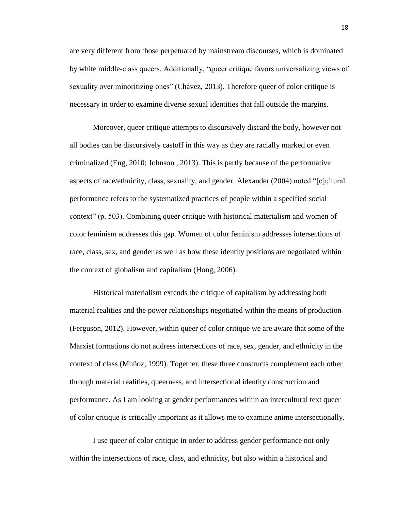are very different from those perpetuated by mainstream discourses, which is dominated by white middle-class queers. Additionally, "queer critique favors universalizing views of sexuality over minoritizing ones" (Chávez, 2013). Therefore queer of color critique is necessary in order to examine diverse sexual identities that fall outside the margins.

Moreover, queer critique attempts to discursively discard the body, however not all bodies can be discursively castoff in this way as they are racially marked or even criminalized (Eng, 2010; Johnson , 2013). This is partly because of the performative aspects of race/ethnicity, class, sexuality, and gender. Alexander (2004) noted "[c]ultural performance refers to the systematized practices of people within a specified social context" (p. 503). Combining queer critique with historical materialism and women of color feminism addresses this gap. Women of color feminism addresses intersections of race, class, sex, and gender as well as how these identity positions are negotiated within the context of globalism and capitalism (Hong, 2006).

Historical materialism extends the critique of capitalism by addressing both material realities and the power relationships negotiated within the means of production (Ferguson, 2012). However, within queer of color critique we are aware that some of the Marxist formations do not address intersections of race, sex, gender, and ethnicity in the context of class (Muñoz, 1999). Together, these three constructs complement each other through material realities, queerness, and intersectional identity construction and performance. As I am looking at gender performances within an intercultural text queer of color critique is critically important as it allows me to examine anime intersectionally.

I use queer of color critique in order to address gender performance not only within the intersections of race, class, and ethnicity, but also within a historical and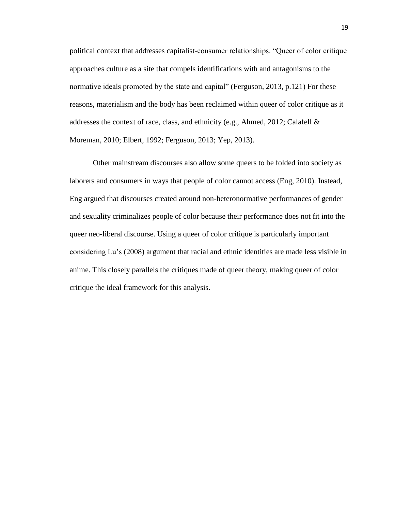political context that addresses capitalist-consumer relationships. "Queer of color critique approaches culture as a site that compels identifications with and antagonisms to the normative ideals promoted by the state and capital" (Ferguson, 2013, p.121) For these reasons, materialism and the body has been reclaimed within queer of color critique as it addresses the context of race, class, and ethnicity (e.g., Ahmed, 2012; Calafell  $\&$ Moreman, 2010; Elbert, 1992; Ferguson, 2013; Yep, 2013).

Other mainstream discourses also allow some queers to be folded into society as laborers and consumers in ways that people of color cannot access (Eng, 2010). Instead, Eng argued that discourses created around non-heteronormative performances of gender and sexuality criminalizes people of color because their performance does not fit into the queer neo-liberal discourse. Using a queer of color critique is particularly important considering Lu's (2008) argument that racial and ethnic identities are made less visible in anime. This closely parallels the critiques made of queer theory, making queer of color critique the ideal framework for this analysis.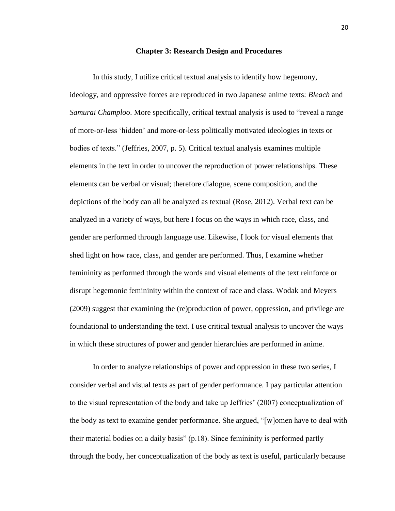#### **Chapter 3: Research Design and Procedures**

<span id="page-25-0"></span>In this study, I utilize critical textual analysis to identify how hegemony, ideology, and oppressive forces are reproduced in two Japanese anime texts: *Bleach* and *Samurai Champloo*. More specifically, critical textual analysis is used to "reveal a range of more-or-less 'hidden' and more-or-less politically motivated ideologies in texts or bodies of texts." (Jeffries, 2007, p. 5). Critical textual analysis examines multiple elements in the text in order to uncover the reproduction of power relationships. These elements can be verbal or visual; therefore dialogue, scene composition, and the depictions of the body can all be analyzed as textual (Rose, 2012). Verbal text can be analyzed in a variety of ways, but here I focus on the ways in which race, class, and gender are performed through language use. Likewise, I look for visual elements that shed light on how race, class, and gender are performed. Thus, I examine whether femininity as performed through the words and visual elements of the text reinforce or disrupt hegemonic femininity within the context of race and class. Wodak and Meyers (2009) suggest that examining the (re)production of power, oppression, and privilege are foundational to understanding the text. I use critical textual analysis to uncover the ways in which these structures of power and gender hierarchies are performed in anime.

In order to analyze relationships of power and oppression in these two series, I consider verbal and visual texts as part of gender performance. I pay particular attention to the visual representation of the body and take up Jeffries' (2007) conceptualization of the body as text to examine gender performance. She argued, "[w]omen have to deal with their material bodies on a daily basis" (p.18). Since femininity is performed partly through the body, her conceptualization of the body as text is useful, particularly because

20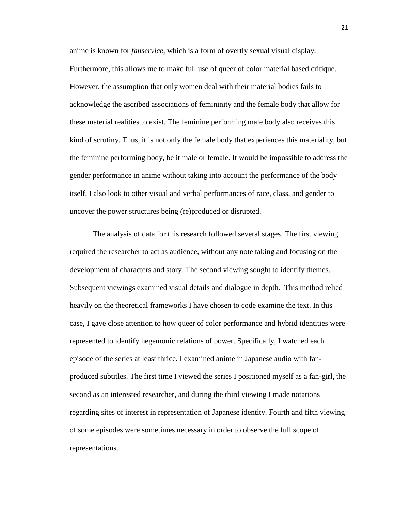anime is known for *fanservice*, which is a form of overtly sexual visual display. Furthermore, this allows me to make full use of queer of color material based critique. However, the assumption that only women deal with their material bodies fails to acknowledge the ascribed associations of femininity and the female body that allow for these material realities to exist. The feminine performing male body also receives this kind of scrutiny. Thus, it is not only the female body that experiences this materiality, but the feminine performing body, be it male or female. It would be impossible to address the gender performance in anime without taking into account the performance of the body itself. I also look to other visual and verbal performances of race, class, and gender to uncover the power structures being (re)produced or disrupted.

The analysis of data for this research followed several stages. The first viewing required the researcher to act as audience, without any note taking and focusing on the development of characters and story. The second viewing sought to identify themes. Subsequent viewings examined visual details and dialogue in depth. This method relied heavily on the theoretical frameworks I have chosen to code examine the text. In this case, I gave close attention to how queer of color performance and hybrid identities were represented to identify hegemonic relations of power. Specifically, I watched each episode of the series at least thrice. I examined anime in Japanese audio with fanproduced subtitles. The first time I viewed the series I positioned myself as a fan-girl, the second as an interested researcher, and during the third viewing I made notations regarding sites of interest in representation of Japanese identity. Fourth and fifth viewing of some episodes were sometimes necessary in order to observe the full scope of representations.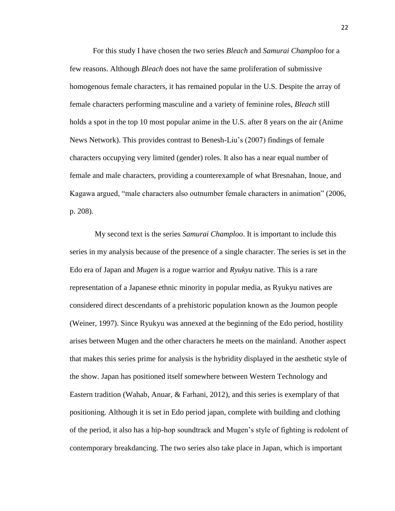For this study I have chosen the two series *Bleach* and *Samurai Champloo* for a few reasons. Although *Bleach* does not have the same proliferation of submissive homogenous female characters, it has remained popular in the U.S. Despite the array of female characters performing masculine and a variety of feminine roles, *Bleach* still holds a spot in the top 10 most popular anime in the U.S. after 8 years on the air (Anime News Network). This provides contrast to Benesh-Liu's (2007) findings of female characters occupying very limited (gender) roles. It also has a near equal number of female and male characters, providing a counterexample of what Bresnahan, Inoue, and Kagawa argued, "male characters also outnumber female characters in animation" (2006, p. 208).

My second text is the series *Samurai Champloo*. It is important to include this series in my analysis because of the presence of a single character. The series is set in the Edo era of Japan and *Mugen* is a rogue warrior and *Ryukyu* native*.* This is a rare representation of a Japanese ethnic minority in popular media, as Ryukyu natives are considered direct descendants of a prehistoric population known as the Joumon people (Weiner, 1997). Since Ryukyu was annexed at the beginning of the Edo period, hostility arises between Mugen and the other characters he meets on the mainland. Another aspect that makes this series prime for analysis is the hybridity displayed in the aesthetic style of the show. Japan has positioned itself somewhere between Western Technology and Eastern tradition (Wahab, Anuar, & Farhani, 2012), and this series is exemplary of that positioning. Although it is set in Edo period japan, complete with building and clothing of the period, it also has a hip-hop soundtrack and Mugen's style of fighting is redolent of contemporary breakdancing. The two series also take place in Japan, which is important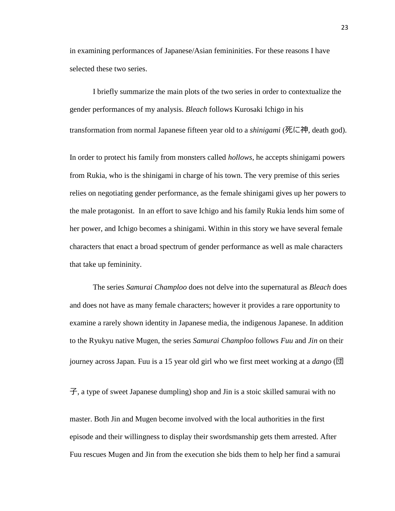in examining performances of Japanese/Asian femininities. For these reasons I have selected these two series.

I briefly summarize the main plots of the two series in order to contextualize the gender performances of my analysis. *Bleach* follows Kurosaki Ichigo in his transformation from normal Japanese fifteen year old to a *shinigami* (死に神, death god).

In order to protect his family from monsters called *hollows*, he accepts shinigami powers from Rukia, who is the shinigami in charge of his town. The very premise of this series relies on negotiating gender performance, as the female shinigami gives up her powers to the male protagonist. In an effort to save Ichigo and his family Rukia lends him some of her power, and Ichigo becomes a shinigami. Within in this story we have several female characters that enact a broad spectrum of gender performance as well as male characters that take up femininity.

The series *Samurai Champloo* does not delve into the supernatural as *Bleach* does and does not have as many female characters; however it provides a rare opportunity to examine a rarely shown identity in Japanese media, the indigenous Japanese. In addition to the Ryukyu native Mugen, the series *Samurai Champloo* follows *Fuu* and *Jin* on their journey across Japan*.* Fuu is a 15 year old girl who we first meet working at a *dango* (団

子, a type of sweet Japanese dumpling) shop and Jin is a stoic skilled samurai with no

master. Both Jin and Mugen become involved with the local authorities in the first episode and their willingness to display their swordsmanship gets them arrested. After Fuu rescues Mugen and Jin from the execution she bids them to help her find a samurai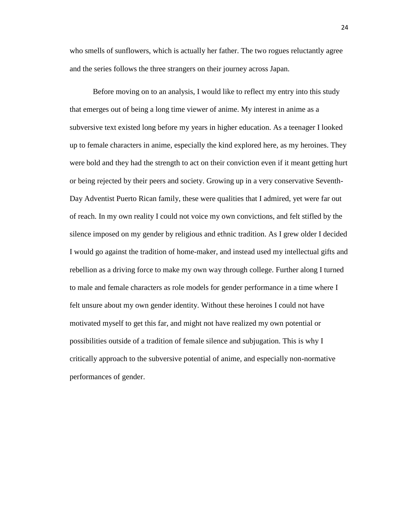who smells of sunflowers, which is actually her father. The two rogues reluctantly agree and the series follows the three strangers on their journey across Japan.

Before moving on to an analysis, I would like to reflect my entry into this study that emerges out of being a long time viewer of anime. My interest in anime as a subversive text existed long before my years in higher education. As a teenager I looked up to female characters in anime, especially the kind explored here, as my heroines. They were bold and they had the strength to act on their conviction even if it meant getting hurt or being rejected by their peers and society. Growing up in a very conservative Seventh-Day Adventist Puerto Rican family, these were qualities that I admired, yet were far out of reach. In my own reality I could not voice my own convictions, and felt stifled by the silence imposed on my gender by religious and ethnic tradition. As I grew older I decided I would go against the tradition of home-maker, and instead used my intellectual gifts and rebellion as a driving force to make my own way through college. Further along I turned to male and female characters as role models for gender performance in a time where I felt unsure about my own gender identity. Without these heroines I could not have motivated myself to get this far, and might not have realized my own potential or possibilities outside of a tradition of female silence and subjugation. This is why I critically approach to the subversive potential of anime, and especially non-normative performances of gender.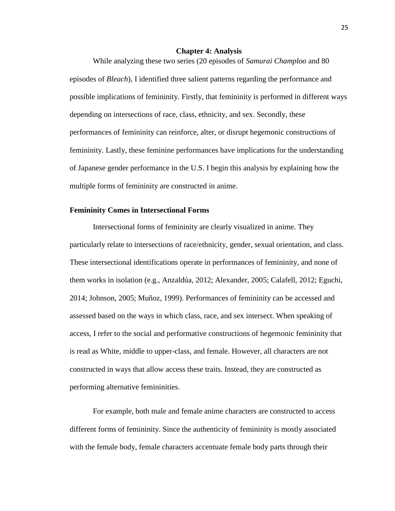## **Chapter 4: Analysis**

<span id="page-30-0"></span>While analyzing these two series (20 episodes of *Samurai Champloo* and 80 episodes of *Bleach*), I identified three salient patterns regarding the performance and possible implications of femininity. Firstly, that femininity is performed in different ways depending on intersections of race, class, ethnicity, and sex. Secondly, these performances of femininity can reinforce, alter, or disrupt hegemonic constructions of femininity. Lastly, these feminine performances have implications for the understanding of Japanese gender performance in the U.S. I begin this analysis by explaining how the multiple forms of femininity are constructed in anime.

# **Femininity Comes in Intersectional Forms**

Intersectional forms of femininity are clearly visualized in anime. They particularly relate to intersections of race/ethnicity, gender, sexual orientation, and class. These intersectional identifications operate in performances of femininity, and none of them works in isolation (e.g., Anzaldúa, 2012; Alexander, 2005; Calafell, 2012; Eguchi, 2014; Johnson, 2005; Muñoz, 1999). Performances of femininity can be accessed and assessed based on the ways in which class, race, and sex intersect. When speaking of access, I refer to the social and performative constructions of hegemonic femininity that is read as White, middle to upper-class, and female. However, all characters are not constructed in ways that allow access these traits. Instead, they are constructed as performing alternative femininities.

For example, both male and female anime characters are constructed to access different forms of femininity. Since the authenticity of femininity is mostly associated with the female body, female characters accentuate female body parts through their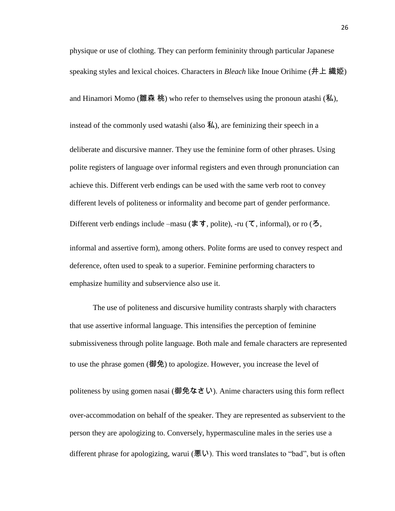physique or use of clothing. They can perform femininity through particular Japanese speaking styles and lexical choices. Characters in *Bleach* like Inoue Orihime (井上 織姫) and Hinamori Momo (雛森 桃) who refer to themselves using the pronoun atashi (私), instead of the commonly used watashi (also  $\mathcal{H}$ ), are feminizing their speech in a deliberate and discursive manner. They use the feminine form of other phrases. Using polite registers of language over informal registers and even through pronunciation can achieve this. Different verb endings can be used with the same verb root to convey different levels of politeness or informality and become part of gender performance. Different verb endings include –masu (ます, polite), -ru (て, informal), or ro (ろ,

informal and assertive form), among others. Polite forms are used to convey respect and deference, often used to speak to a superior. Feminine performing characters to emphasize humility and subservience also use it.

The use of politeness and discursive humility contrasts sharply with characters that use assertive informal language. This intensifies the perception of feminine submissiveness through polite language. Both male and female characters are represented to use the phrase gomen (御免) to apologize. However, you increase the level of politeness by using gomen nasai (御免なさい). Anime characters using this form reflect over-accommodation on behalf of the speaker. They are represented as subservient to the person they are apologizing to. Conversely, hypermasculine males in the series use a different phrase for apologizing, warui (悪い). This word translates to "bad", but is often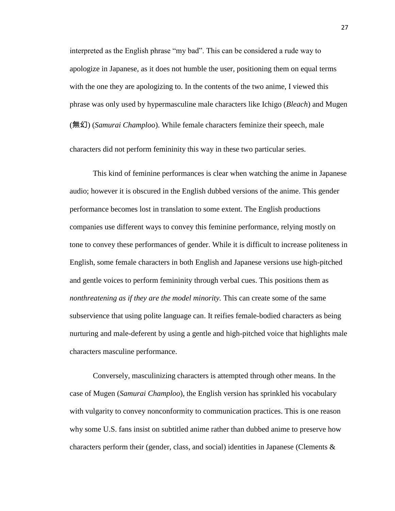interpreted as the English phrase "my bad". This can be considered a rude way to apologize in Japanese, as it does not humble the user, positioning them on equal terms with the one they are apologizing to. In the contents of the two anime, I viewed this phrase was only used by hypermasculine male characters like Ichigo (*Bleach*) and Mugen (無幻) (*Samurai Champloo*). While female characters feminize their speech, male characters did not perform femininity this way in these two particular series.

This kind of feminine performances is clear when watching the anime in Japanese audio; however it is obscured in the English dubbed versions of the anime. This gender performance becomes lost in translation to some extent. The English productions companies use different ways to convey this feminine performance, relying mostly on tone to convey these performances of gender. While it is difficult to increase politeness in English, some female characters in both English and Japanese versions use high-pitched and gentle voices to perform femininity through verbal cues. This positions them as *nonthreatening as if they are the model minority.* This can create some of the same subservience that using polite language can. It reifies female-bodied characters as being nurturing and male-deferent by using a gentle and high-pitched voice that highlights male characters masculine performance.

Conversely, masculinizing characters is attempted through other means. In the case of Mugen (*Samurai Champloo*), the English version has sprinkled his vocabulary with vulgarity to convey nonconformity to communication practices. This is one reason why some U.S. fans insist on subtitled anime rather than dubbed anime to preserve how characters perform their (gender, class, and social) identities in Japanese (Clements &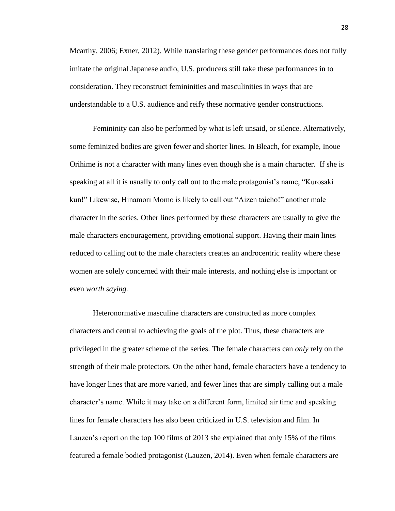Mcarthy, 2006; Exner, 2012). While translating these gender performances does not fully imitate the original Japanese audio, U.S. producers still take these performances in to consideration. They reconstruct femininities and masculinities in ways that are understandable to a U.S. audience and reify these normative gender constructions.

Femininity can also be performed by what is left unsaid, or silence. Alternatively, some feminized bodies are given fewer and shorter lines. In Bleach, for example, Inoue Orihime is not a character with many lines even though she is a main character. If she is speaking at all it is usually to only call out to the male protagonist's name, "Kurosaki kun!" Likewise, Hinamori Momo is likely to call out "Aizen taicho!" another male character in the series. Other lines performed by these characters are usually to give the male characters encouragement, providing emotional support. Having their main lines reduced to calling out to the male characters creates an androcentric reality where these women are solely concerned with their male interests, and nothing else is important or even *worth saying.* 

Heteronormative masculine characters are constructed as more complex characters and central to achieving the goals of the plot. Thus, these characters are privileged in the greater scheme of the series. The female characters can *only* rely on the strength of their male protectors. On the other hand, female characters have a tendency to have longer lines that are more varied, and fewer lines that are simply calling out a male character's name. While it may take on a different form, limited air time and speaking lines for female characters has also been criticized in U.S. television and film. In Lauzen's report on the top 100 films of 2013 she explained that only 15% of the films featured a female bodied protagonist (Lauzen, 2014). Even when female characters are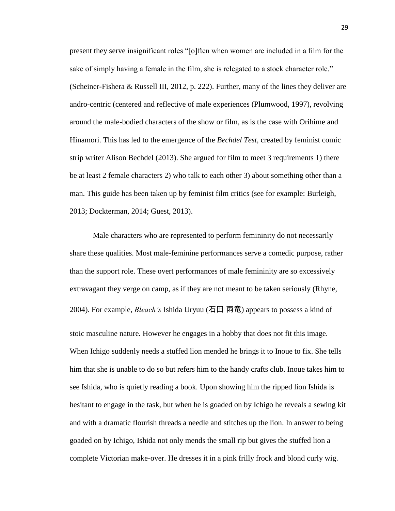present they serve insignificant roles "[o]ften when women are included in a film for the sake of simply having a female in the film, she is relegated to a stock character role." (Scheiner-Fishera & Russell III, 2012, p. 222). Further, many of the lines they deliver are andro-centric (centered and reflective of male experiences (Plumwood, 1997), revolving around the male-bodied characters of the show or film, as is the case with Orihime and Hinamori. This has led to the emergence of the *Bechdel Test,* created by feminist comic strip writer Alison Bechdel (2013). She argued for film to meet 3 requirements 1) there be at least 2 female characters 2) who talk to each other 3) about something other than a man. This guide has been taken up by feminist film critics (see for example: Burleigh, 2013; Dockterman, 2014; Guest, 2013).

Male characters who are represented to perform femininity do not necessarily share these qualities. Most male-feminine performances serve a comedic purpose, rather than the support role. These overt performances of male femininity are so excessively extravagant they verge on camp, as if they are not meant to be taken seriously (Rhyne, 2004). For example, *Bleach's* Ishida Uryuu (石田 雨竜) appears to possess a kind of stoic masculine nature. However he engages in a hobby that does not fit this image. When Ichigo suddenly needs a stuffed lion mended he brings it to Inoue to fix. She tells him that she is unable to do so but refers him to the handy crafts club. Inoue takes him to see Ishida, who is quietly reading a book. Upon showing him the ripped lion Ishida is hesitant to engage in the task, but when he is goaded on by Ichigo he reveals a sewing kit and with a dramatic flourish threads a needle and stitches up the lion. In answer to being goaded on by Ichigo, Ishida not only mends the small rip but gives the stuffed lion a complete Victorian make-over. He dresses it in a pink frilly frock and blond curly wig.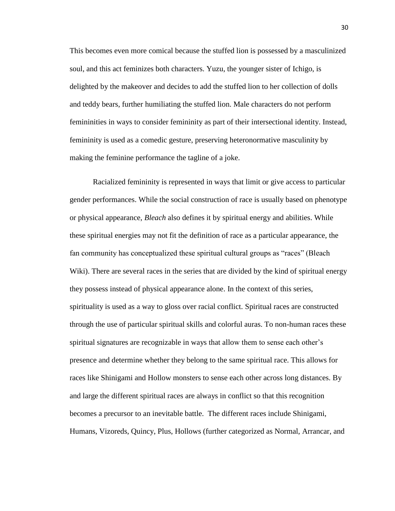This becomes even more comical because the stuffed lion is possessed by a masculinized soul, and this act feminizes both characters. Yuzu, the younger sister of Ichigo, is delighted by the makeover and decides to add the stuffed lion to her collection of dolls and teddy bears, further humiliating the stuffed lion. Male characters do not perform femininities in ways to consider femininity as part of their intersectional identity. Instead, femininity is used as a comedic gesture, preserving heteronormative masculinity by making the feminine performance the tagline of a joke.

Racialized femininity is represented in ways that limit or give access to particular gender performances. While the social construction of race is usually based on phenotype or physical appearance, *Bleach* also defines it by spiritual energy and abilities. While these spiritual energies may not fit the definition of race as a particular appearance, the fan community has conceptualized these spiritual cultural groups as "races" (Bleach Wiki). There are several races in the series that are divided by the kind of spiritual energy they possess instead of physical appearance alone. In the context of this series, spirituality is used as a way to gloss over racial conflict. Spiritual races are constructed through the use of particular spiritual skills and colorful auras. To non-human races these spiritual signatures are recognizable in ways that allow them to sense each other's presence and determine whether they belong to the same spiritual race. This allows for races like Shinigami and Hollow monsters to sense each other across long distances. By and large the different spiritual races are always in conflict so that this recognition becomes a precursor to an inevitable battle. The different races include Shinigami, Humans, Vizoreds, Quincy, Plus, Hollows (further categorized as Normal, Arrancar, and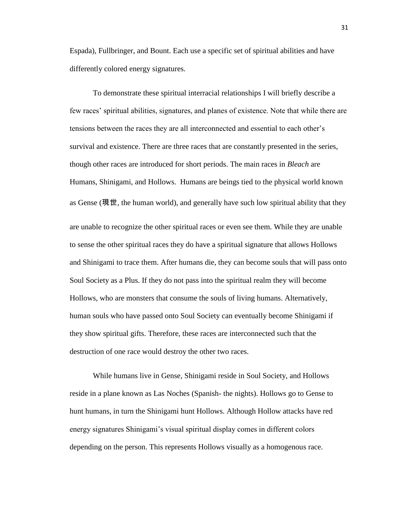Espada), Fullbringer, and Bount. Each use a specific set of spiritual abilities and have differently colored energy signatures.

To demonstrate these spiritual interracial relationships I will briefly describe a few races' spiritual abilities, signatures, and planes of existence. Note that while there are tensions between the races they are all interconnected and essential to each other's survival and existence. There are three races that are constantly presented in the series, though other races are introduced for short periods. The main races in *Bleach* are Humans, Shinigami, and Hollows. Humans are beings tied to the physical world known as Gense (現世, the human world), and generally have such low spiritual ability that they are unable to recognize the other spiritual races or even see them. While they are unable to sense the other spiritual races they do have a spiritual signature that allows Hollows and Shinigami to trace them. After humans die, they can become souls that will pass onto Soul Society as a Plus. If they do not pass into the spiritual realm they will become Hollows, who are monsters that consume the souls of living humans. Alternatively, human souls who have passed onto Soul Society can eventually become Shinigami if they show spiritual gifts. Therefore, these races are interconnected such that the destruction of one race would destroy the other two races.

While humans live in Gense, Shinigami reside in Soul Society, and Hollows reside in a plane known as Las Noches (Spanish- the nights). Hollows go to Gense to hunt humans, in turn the Shinigami hunt Hollows. Although Hollow attacks have red energy signatures Shinigami's visual spiritual display comes in different colors depending on the person. This represents Hollows visually as a homogenous race.

31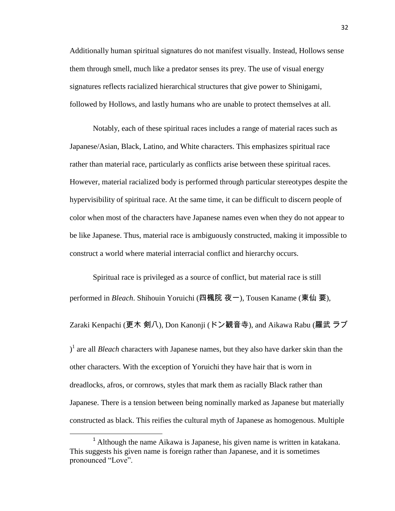Additionally human spiritual signatures do not manifest visually. Instead, Hollows sense them through smell, much like a predator senses its prey. The use of visual energy signatures reflects racialized hierarchical structures that give power to Shinigami, followed by Hollows, and lastly humans who are unable to protect themselves at all.

Notably, each of these spiritual races includes a range of material races such as Japanese/Asian, Black, Latino, and White characters. This emphasizes spiritual race rather than material race, particularly as conflicts arise between these spiritual races. However, material racialized body is performed through particular stereotypes despite the hypervisibility of spiritual race. At the same time, it can be difficult to discern people of color when most of the characters have Japanese names even when they do not appear to be like Japanese. Thus, material race is ambiguously constructed, making it impossible to construct a world where material interracial conflict and hierarchy occurs.

Spiritual race is privileged as a source of conflict, but material race is still performed in *Bleach*. Shihouin Yoruichi (四楓院 夜一), Tousen Kaname (東仙 要),

Zaraki Kenpachi (更木 剣八), Don Kanonji (ドン観音寺), and Aikawa Rabu (羅武 ラブ

) 1 are all *Bleach* characters with Japanese names, but they also have darker skin than the other characters. With the exception of Yoruichi they have hair that is worn in dreadlocks, afros, or cornrows, styles that mark them as racially Black rather than Japanese. There is a tension between being nominally marked as Japanese but materially constructed as black. This reifies the cultural myth of Japanese as homogenous. Multiple

 $\overline{\phantom{a}}$ 

<sup>&</sup>lt;sup>1</sup> Although the name Aikawa is Japanese, his given name is written in katakana. This suggests his given name is foreign rather than Japanese, and it is sometimes pronounced "Love".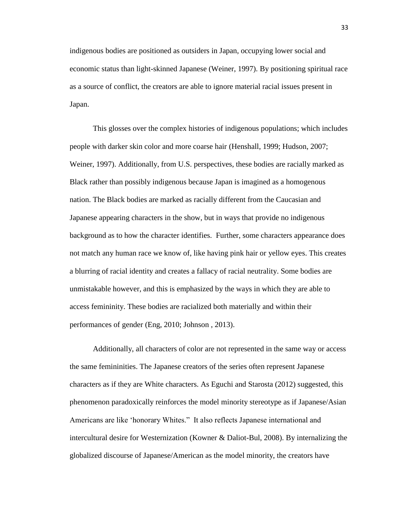indigenous bodies are positioned as outsiders in Japan, occupying lower social and economic status than light-skinned Japanese (Weiner, 1997). By positioning spiritual race as a source of conflict, the creators are able to ignore material racial issues present in Japan.

This glosses over the complex histories of indigenous populations; which includes people with darker skin color and more coarse hair (Henshall, 1999; Hudson, 2007; Weiner, 1997). Additionally, from U.S. perspectives, these bodies are racially marked as Black rather than possibly indigenous because Japan is imagined as a homogenous nation. The Black bodies are marked as racially different from the Caucasian and Japanese appearing characters in the show, but in ways that provide no indigenous background as to how the character identifies. Further, some characters appearance does not match any human race we know of, like having pink hair or yellow eyes. This creates a blurring of racial identity and creates a fallacy of racial neutrality. Some bodies are unmistakable however, and this is emphasized by the ways in which they are able to access femininity. These bodies are racialized both materially and within their performances of gender (Eng, 2010; Johnson , 2013).

Additionally, all characters of color are not represented in the same way or access the same femininities. The Japanese creators of the series often represent Japanese characters as if they are White characters. As Eguchi and Starosta (2012) suggested, this phenomenon paradoxically reinforces the model minority stereotype as if Japanese/Asian Americans are like 'honorary Whites." It also reflects Japanese international and intercultural desire for Westernization (Kowner & Daliot-Bul, 2008). By internalizing the globalized discourse of Japanese/American as the model minority, the creators have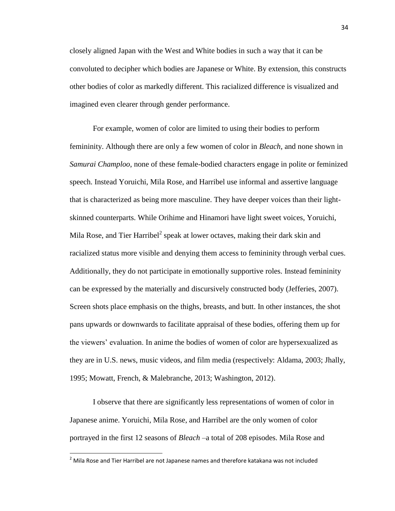closely aligned Japan with the West and White bodies in such a way that it can be convoluted to decipher which bodies are Japanese or White. By extension, this constructs other bodies of color as markedly different. This racialized difference is visualized and imagined even clearer through gender performance.

For example, women of color are limited to using their bodies to perform femininity. Although there are only a few women of color in *Bleach*, and none shown in *Samurai Champloo*, none of these female-bodied characters engage in polite or feminized speech. Instead Yoruichi, Mila Rose, and Harribel use informal and assertive language that is characterized as being more masculine. They have deeper voices than their lightskinned counterparts. While Orihime and Hinamori have light sweet voices, Yoruichi, Mila Rose, and Tier Harribel<sup>2</sup> speak at lower octaves, making their dark skin and racialized status more visible and denying them access to femininity through verbal cues. Additionally, they do not participate in emotionally supportive roles. Instead femininity can be expressed by the materially and discursively constructed body (Jefferies, 2007). Screen shots place emphasis on the thighs, breasts, and butt. In other instances, the shot pans upwards or downwards to facilitate appraisal of these bodies, offering them up for the viewers' evaluation. In anime the bodies of women of color are hypersexualized as they are in U.S. news, music videos, and film media (respectively: Aldama, 2003; Jhally, 1995; Mowatt, French, & Malebranche, 2013; Washington, 2012).

I observe that there are significantly less representations of women of color in Japanese anime. Yoruichi, Mila Rose, and Harribel are the only women of color portrayed in the first 12 seasons of *Bleach* –a total of 208 episodes. Mila Rose and

 $\overline{\phantom{a}}$ 

 $<sup>2</sup>$  Mila Rose and Tier Harribel are not Japanese names and therefore katakana was not included</sup>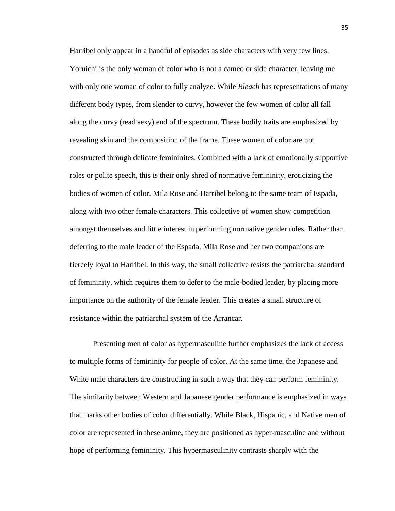Harribel only appear in a handful of episodes as side characters with very few lines. Yoruichi is the only woman of color who is not a cameo or side character, leaving me with only one woman of color to fully analyze. While *Bleach* has representations of many different body types, from slender to curvy, however the few women of color all fall along the curvy (read sexy) end of the spectrum. These bodily traits are emphasized by revealing skin and the composition of the frame. These women of color are not constructed through delicate femininites. Combined with a lack of emotionally supportive roles or polite speech, this is their only shred of normative femininity, eroticizing the bodies of women of color. Mila Rose and Harribel belong to the same team of Espada, along with two other female characters. This collective of women show competition amongst themselves and little interest in performing normative gender roles. Rather than deferring to the male leader of the Espada, Mila Rose and her two companions are fiercely loyal to Harribel. In this way, the small collective resists the patriarchal standard of femininity, which requires them to defer to the male-bodied leader, by placing more importance on the authority of the female leader. This creates a small structure of resistance within the patriarchal system of the Arrancar.

Presenting men of color as hypermasculine further emphasizes the lack of access to multiple forms of femininity for people of color. At the same time, the Japanese and White male characters are constructing in such a way that they can perform femininity. The similarity between Western and Japanese gender performance is emphasized in ways that marks other bodies of color differentially. While Black, Hispanic, and Native men of color are represented in these anime, they are positioned as hyper-masculine and without hope of performing femininity. This hypermasculinity contrasts sharply with the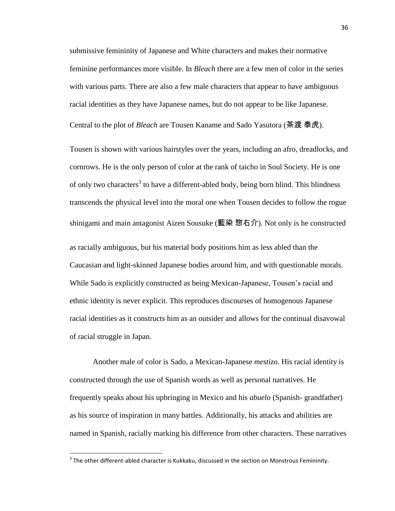submissive femininity of Japanese and White characters and makes their normative feminine performances more visible. In *Bleach* there are a few men of color in the series with various parts. There are also a few male characters that appear to have ambiguous racial identities as they have Japanese names, but do not appear to be like Japanese.

Central to the plot of *Bleach* are Tousen Kaname and Sado Yasutora (茶渡 泰虎).

Tousen is shown with various hairstyles over the years, including an afro, dreadlocks, and cornrows. He is the only person of color at the rank of taicho in Soul Society. He is one of only two characters<sup>3</sup> to have a different-abled body, being born blind. This blindness transcends the physical level into the moral one when Tousen decides to follow the rogue shinigami and main antagonist Aizen Sousuke (藍染 惣右介). Not only is he constructed

as racially ambiguous, but his material body positions him as less abled than the Caucasian and light-skinned Japanese bodies around him, and with questionable morals. While Sado is explicitly constructed as being Mexican-Japanese, Tousen's racial and ethnic identity is never explicit. This reproduces discourses of homogenous Japanese racial identities as it constructs him as an outsider and allows for the continual disavowal of racial struggle in Japan.

Another male of color is Sado, a Mexican-Japanese *mestizo*. His racial identity is constructed through the use of Spanish words as well as personal narratives. He frequently speaks about his upbringing in Mexico and his *abuelo* (Spanish- grandfather) as his source of inspiration in many battles. Additionally, his attacks and abilities are named in Spanish, racially marking his difference from other characters. These narratives

 $\overline{\phantom{a}}$ 

 $^3$  The other different-abled character is Kukkaku, discussed in the section on Monstrous Femininity.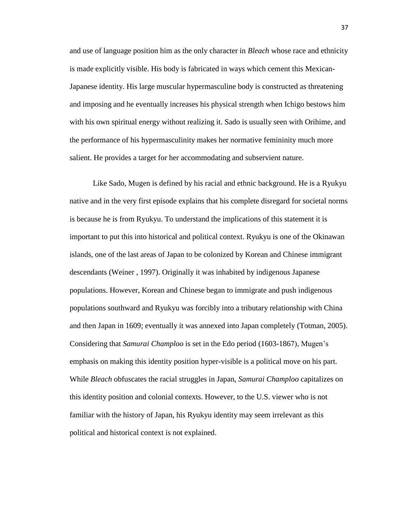and use of language position him as the only character in *Bleach* whose race and ethnicity is made explicitly visible. His body is fabricated in ways which cement this Mexican-Japanese identity. His large muscular hypermasculine body is constructed as threatening and imposing and he eventually increases his physical strength when Ichigo bestows him with his own spiritual energy without realizing it. Sado is usually seen with Orihime, and the performance of his hypermasculinity makes her normative femininity much more salient. He provides a target for her accommodating and subservient nature.

Like Sado, Mugen is defined by his racial and ethnic background. He is a Ryukyu native and in the very first episode explains that his complete disregard for societal norms is because he is from Ryukyu. To understand the implications of this statement it is important to put this into historical and political context. Ryukyu is one of the Okinawan islands, one of the last areas of Japan to be colonized by Korean and Chinese immigrant descendants (Weiner , 1997). Originally it was inhabited by indigenous Japanese populations. However, Korean and Chinese began to immigrate and push indigenous populations southward and Ryukyu was forcibly into a tributary relationship with China and then Japan in 1609; eventually it was annexed into Japan completely (Totman, 2005). Considering that *Samurai Champloo* is set in the Edo period (1603-1867), Mugen's emphasis on making this identity position hyper-visible is a political move on his part. While *Bleach* obfuscates the racial struggles in Japan, *Samurai Champloo* capitalizes on this identity position and colonial contexts. However, to the U.S. viewer who is not familiar with the history of Japan, his Ryukyu identity may seem irrelevant as this political and historical context is not explained.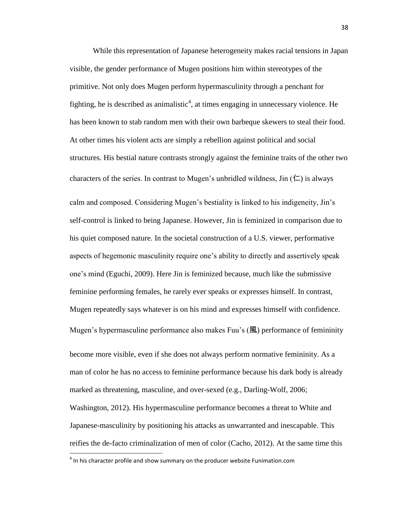While this representation of Japanese heterogeneity makes racial tensions in Japan visible, the gender performance of Mugen positions him within stereotypes of the primitive. Not only does Mugen perform hypermasculinity through a penchant for fighting, he is described as animalistic<sup>4</sup>, at times engaging in unnecessary violence. He has been known to stab random men with their own barbeque skewers to steal their food. At other times his violent acts are simply a rebellion against political and social structures. His bestial nature contrasts strongly against the feminine traits of the other two characters of the series. In contrast to Mugen's unbridled wildness, Jin  $(\Box)$  is always calm and composed. Considering Mugen's bestiality is linked to his indigeneity, Jin's self-control is linked to being Japanese. However, Jin is feminized in comparison due to his quiet composed nature. In the societal construction of a U.S. viewer, performative aspects of hegemonic masculinity require one's ability to directly and assertively speak one's mind (Eguchi, 2009). Here Jin is feminized because, much like the submissive feminine performing females, he rarely ever speaks or expresses himself. In contrast, Mugen repeatedly says whatever is on his mind and expresses himself with confidence. Mugen's hypermasculine performance also makes Fuu's (風) performance of femininity

become more visible, even if she does not always perform normative femininity. As a man of color he has no access to feminine performance because his dark body is already marked as threatening, masculine, and over-sexed (e.g., Darling-Wolf, 2006; Washington, 2012). His hypermasculine performance becomes a threat to White and Japanese-masculinity by positioning his attacks as unwarranted and inescapable. This reifies the de-facto criminalization of men of color (Cacho, 2012). At the same time this

 $\overline{\phantom{a}}$ 

 $<sup>4</sup>$  In his character profile and show summary on the producer website Funimation.com</sup>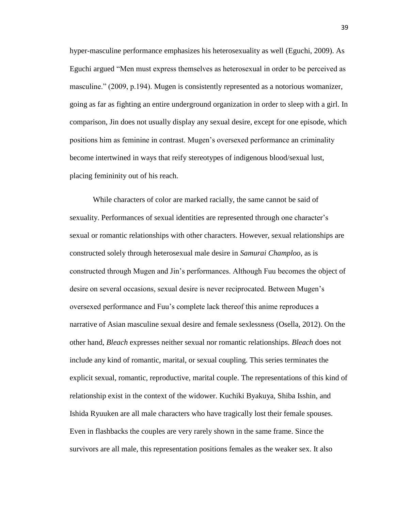hyper-masculine performance emphasizes his heterosexuality as well (Eguchi, 2009). As Eguchi argued "Men must express themselves as heterosexual in order to be perceived as masculine." (2009, p.194). Mugen is consistently represented as a notorious womanizer, going as far as fighting an entire underground organization in order to sleep with a girl. In comparison, Jin does not usually display any sexual desire, except for one episode, which positions him as feminine in contrast. Mugen's oversexed performance an criminality become intertwined in ways that reify stereotypes of indigenous blood/sexual lust, placing femininity out of his reach.

While characters of color are marked racially, the same cannot be said of sexuality. Performances of sexual identities are represented through one character's sexual or romantic relationships with other characters. However, sexual relationships are constructed solely through heterosexual male desire in *Samurai Champloo*, as is constructed through Mugen and Jin's performances. Although Fuu becomes the object of desire on several occasions, sexual desire is never reciprocated. Between Mugen's oversexed performance and Fuu's complete lack thereof this anime reproduces a narrative of Asian masculine sexual desire and female sexlessness (Osella, 2012). On the other hand, *Bleach* expresses neither sexual nor romantic relationships. *Bleach* does not include any kind of romantic, marital, or sexual coupling. This series terminates the explicit sexual, romantic, reproductive, marital couple. The representations of this kind of relationship exist in the context of the widower. Kuchiki Byakuya, Shiba Isshin, and Ishida Ryuuken are all male characters who have tragically lost their female spouses. Even in flashbacks the couples are very rarely shown in the same frame. Since the survivors are all male, this representation positions females as the weaker sex. It also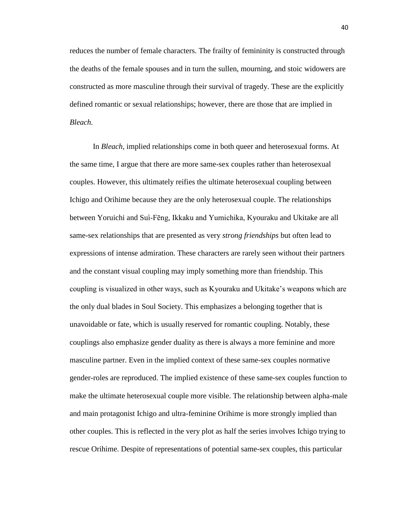reduces the number of female characters. The frailty of femininity is constructed through the deaths of the female spouses and in turn the sullen, mourning, and stoic widowers are constructed as more masculine through their survival of tragedy. These are the explicitly defined romantic or sexual relationships; however, there are those that are implied in *Bleach.*

In *Bleach*, implied relationships come in both queer and heterosexual forms. At the same time, I argue that there are more same-sex couples rather than heterosexual couples. However, this ultimately reifies the ultimate heterosexual coupling between Ichigo and Orihime because they are the only heterosexual couple. The relationships between Yoruichi and Suì-Fēng, Ikkaku and Yumichika, Kyouraku and Ukitake are all same-sex relationships that are presented as very *strong friendships* but often lead to expressions of intense admiration. These characters are rarely seen without their partners and the constant visual coupling may imply something more than friendship. This coupling is visualized in other ways, such as Kyouraku and Ukitake's weapons which are the only dual blades in Soul Society. This emphasizes a belonging together that is unavoidable or fate, which is usually reserved for romantic coupling. Notably, these couplings also emphasize gender duality as there is always a more feminine and more masculine partner. Even in the implied context of these same-sex couples normative gender-roles are reproduced. The implied existence of these same-sex couples function to make the ultimate heterosexual couple more visible. The relationship between alpha-male and main protagonist Ichigo and ultra-feminine Orihime is more strongly implied than other couples. This is reflected in the very plot as half the series involves Ichigo trying to rescue Orihime. Despite of representations of potential same-sex couples, this particular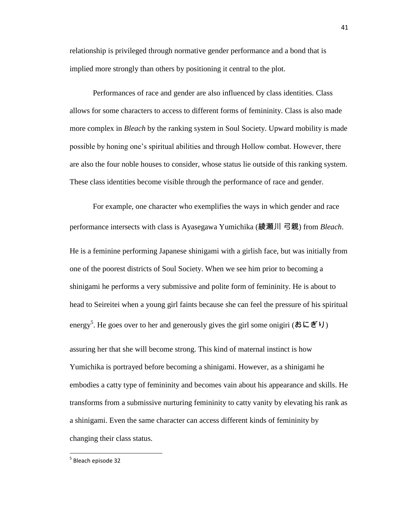relationship is privileged through normative gender performance and a bond that is implied more strongly than others by positioning it central to the plot.

Performances of race and gender are also influenced by class identities. Class allows for some characters to access to different forms of femininity. Class is also made more complex in *Bleach* by the ranking system in Soul Society. Upward mobility is made possible by honing one's spiritual abilities and through Hollow combat. However, there are also the four noble houses to consider, whose status lie outside of this ranking system. These class identities become visible through the performance of race and gender.

For example, one character who exemplifies the ways in which gender and race performance intersects with class is Ayasegawa Yumichika (綾瀬川 弓親) from *Bleach*. He is a feminine performing Japanese shinigami with a girlish face, but was initially from one of the poorest districts of Soul Society. When we see him prior to becoming a shinigami he performs a very submissive and polite form of femininity. He is about to head to Seireitei when a young girl faints because she can feel the pressure of his spiritual energy<sup>5</sup>. He goes over to her and generously gives the girl some onigiri (おにぎり) assuring her that she will become strong. This kind of maternal instinct is how Yumichika is portrayed before becoming a shinigami. However, as a shinigami he embodies a catty type of femininity and becomes vain about his appearance and skills. He transforms from a submissive nurturing femininity to catty vanity by elevating his rank as a shinigami. Even the same character can access different kinds of femininity by changing their class status.

 $\overline{\phantom{a}}$ 

<sup>&</sup>lt;sup>5</sup> Bleach episode 32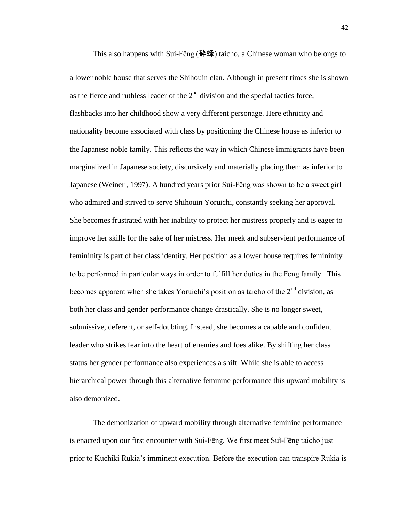This also happens with Suì-Fēng (砕蜂) taicho, a Chinese woman who belongs to a lower noble house that serves the Shihouin clan. Although in present times she is shown as the fierce and ruthless leader of the  $2<sup>nd</sup>$  division and the special tactics force, flashbacks into her childhood show a very different personage. Here ethnicity and nationality become associated with class by positioning the Chinese house as inferior to the Japanese noble family. This reflects the way in which Chinese immigrants have been marginalized in Japanese society, discursively and materially placing them as inferior to Japanese (Weiner , 1997). A hundred years prior Suì-Fēng was shown to be a sweet girl who admired and strived to serve Shihouin Yoruichi, constantly seeking her approval. She becomes frustrated with her inability to protect her mistress properly and is eager to improve her skills for the sake of her mistress. Her meek and subservient performance of femininity is part of her class identity. Her position as a lower house requires femininity to be performed in particular ways in order to fulfill her duties in the Fēng family. This becomes apparent when she takes Yoruichi's position as taicho of the  $2<sup>nd</sup>$  division, as both her class and gender performance change drastically. She is no longer sweet, submissive, deferent, or self-doubting. Instead, she becomes a capable and confident leader who strikes fear into the heart of enemies and foes alike. By shifting her class status her gender performance also experiences a shift. While she is able to access hierarchical power through this alternative feminine performance this upward mobility is also demonized.

The demonization of upward mobility through alternative feminine performance is enacted upon our first encounter with Suì-Fēng. We first meet Suì-Fēng taicho just prior to Kuchiki Rukia's imminent execution. Before the execution can transpire Rukia is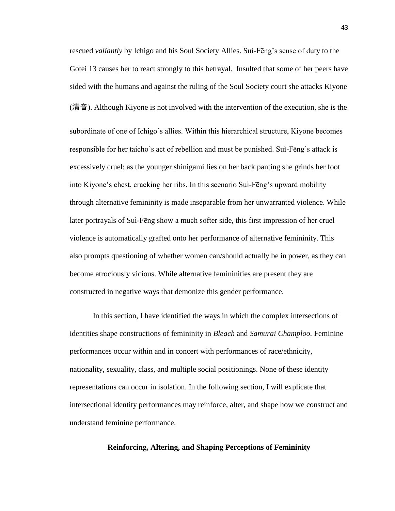rescued *valiantly* by Ichigo and his Soul Society Allies. Suì-Fēng's sense of duty to the Gotei 13 causes her to react strongly to this betrayal. Insulted that some of her peers have sided with the humans and against the ruling of the Soul Society court she attacks Kiyone (清音). Although Kiyone is not involved with the intervention of the execution, she is the subordinate of one of Ichigo's allies. Within this hierarchical structure, Kiyone becomes responsible for her taicho's act of rebellion and must be punished. Suì-Fēng's attack is excessively cruel; as the younger shinigami lies on her back panting she grinds her foot into Kiyone's chest, cracking her ribs. In this scenario Suì-Fēng's upward mobility

through alternative femininity is made inseparable from her unwarranted violence. While later portrayals of Suì-Fēng show a much softer side, this first impression of her cruel violence is automatically grafted onto her performance of alternative femininity. This also prompts questioning of whether women can/should actually be in power, as they can become atrociously vicious. While alternative femininities are present they are constructed in negative ways that demonize this gender performance.

In this section, I have identified the ways in which the complex intersections of identities shape constructions of femininity in *Bleach* and *Samurai Champloo.* Feminine performances occur within and in concert with performances of race/ethnicity, nationality, sexuality, class, and multiple social positionings. None of these identity representations can occur in isolation. In the following section, I will explicate that intersectional identity performances may reinforce, alter, and shape how we construct and understand feminine performance.

## **Reinforcing, Altering, and Shaping Perceptions of Femininity**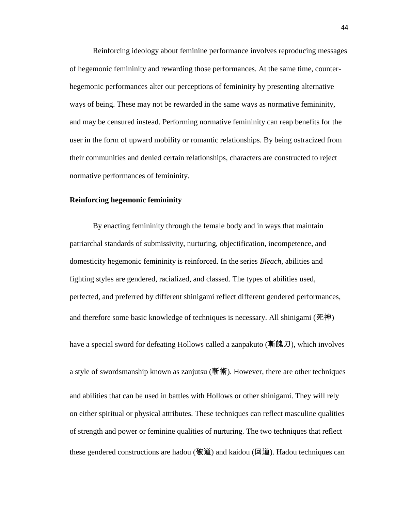Reinforcing ideology about feminine performance involves reproducing messages of hegemonic femininity and rewarding those performances. At the same time, counterhegemonic performances alter our perceptions of femininity by presenting alternative ways of being. These may not be rewarded in the same ways as normative femininity, and may be censured instead. Performing normative femininity can reap benefits for the user in the form of upward mobility or romantic relationships. By being ostracized from their communities and denied certain relationships, characters are constructed to reject normative performances of femininity.

## **Reinforcing hegemonic femininity**

By enacting femininity through the female body and in ways that maintain patriarchal standards of submissivity, nurturing, objectification, incompetence, and domesticity hegemonic femininity is reinforced. In the series *Bleach*, abilities and fighting styles are gendered, racialized, and classed. The types of abilities used, perfected, and preferred by different shinigami reflect different gendered performances, and therefore some basic knowledge of techniques is necessary. All shinigami (死神)

a style of swordsmanship known as zanjutsu (斬術). However, there are other techniques and abilities that can be used in battles with Hollows or other shinigami. They will rely on either spiritual or physical attributes. These techniques can reflect masculine qualities of strength and power or feminine qualities of nurturing. The two techniques that reflect these gendered constructions are hadou (破道) and kaidou (回道). Hadou techniques can

have a special sword for defeating Hollows called a zanpakuto (斬魄刀), which involves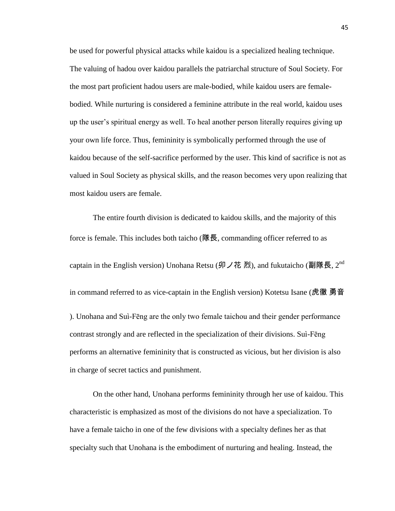be used for powerful physical attacks while kaidou is a specialized healing technique. The valuing of hadou over kaidou parallels the patriarchal structure of Soul Society. For the most part proficient hadou users are male-bodied, while kaidou users are femalebodied. While nurturing is considered a feminine attribute in the real world, kaidou uses up the user's spiritual energy as well. To heal another person literally requires giving up your own life force. Thus, femininity is symbolically performed through the use of kaidou because of the self-sacrifice performed by the user. This kind of sacrifice is not as valued in Soul Society as physical skills, and the reason becomes very upon realizing that most kaidou users are female.

The entire fourth division is dedicated to kaidou skills, and the majority of this force is female. This includes both taicho (隊長, commanding officer referred to as captain in the English version) Unohana Retsu (卯ノ花 烈), and fukutaicho (副隊長, 2<sup>nd</sup> in command referred to as vice-captain in the English version) Kotetsu Isane (虎徹 勇音 ). Unohana and Suì-Fēng are the only two female taichou and their gender performance contrast strongly and are reflected in the specialization of their divisions. Suì-Fēng performs an alternative femininity that is constructed as vicious, but her division is also in charge of secret tactics and punishment.

On the other hand, Unohana performs femininity through her use of kaidou. This characteristic is emphasized as most of the divisions do not have a specialization. To have a female taicho in one of the few divisions with a specialty defines her as that specialty such that Unohana is the embodiment of nurturing and healing. Instead, the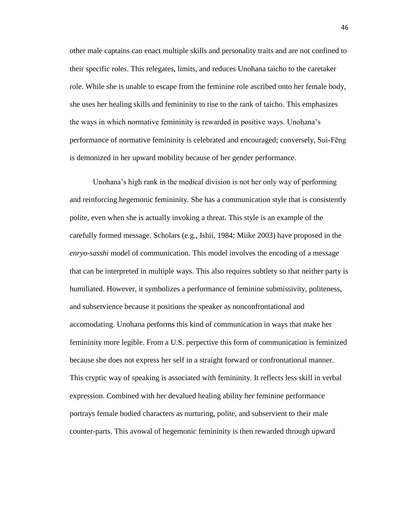other male captains can enact multiple skills and personality traits and are not confined to their specific roles. This relegates, limits, and reduces Unohana taicho to the caretaker role. While she is unable to escape from the feminine role ascribed onto her female body, she uses her healing skills and femininity to rise to the rank of taicho. This emphasizes the ways in which normative femininity is rewarded in positive ways. Unohana's performance of normative femininity is celebrated and encouraged; conversely, Suì-Fēng is demonized in her upward mobility because of her gender performance.

Unohana's high rank in the medical division is not her only way of performing and reinforcing hegemonic femininity. She has a communication style that is consistently polite, even when she is actually invoking a threat. This style is an example of the carefully formed message. Scholars (e.g., Ishii, 1984; Miike 2003) have proposed in the *enryo-sasshi* model of communication. This model involves the encoding of a message that can be interpreted in multiple ways. This also requires subtlety so that neither party is humiliated. However, it symbolizes a performance of feminine submissivity, politeness, and subservience because it positions the speaker as nonconfrontational and accomodating. Unohana performs this kind of communication in ways that make her femininity more legible. From a U.S. perpective this form of communication is feminized because she does not express her self in a straight forward or confrontational manner. This cryptic way of speaking is associated with femininity. It reflects less skill in verbal expression. Combined with her devalued healing ability her feminine performance portrays female bodied characters as nurturing, polite, and subservient to their male counter-parts. This avowal of hegemonic femininity is then rewarded through upward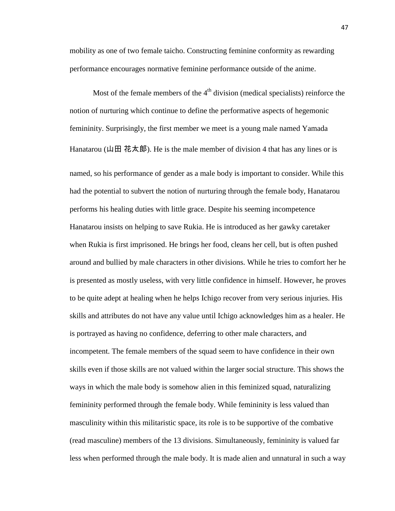mobility as one of two female taicho. Constructing feminine conformity as rewarding performance encourages normative feminine performance outside of the anime.

Most of the female members of the  $4<sup>th</sup>$  division (medical specialists) reinforce the notion of nurturing which continue to define the performative aspects of hegemonic femininity. Surprisingly, the first member we meet is a young male named Yamada Hanatarou (山田 花太郎). He is the male member of division 4 that has any lines or is named, so his performance of gender as a male body is important to consider. While this had the potential to subvert the notion of nurturing through the female body, Hanatarou performs his healing duties with little grace. Despite his seeming incompetence Hanatarou insists on helping to save Rukia. He is introduced as her gawky caretaker when Rukia is first imprisoned. He brings her food, cleans her cell, but is often pushed around and bullied by male characters in other divisions. While he tries to comfort her he is presented as mostly useless, with very little confidence in himself. However, he proves to be quite adept at healing when he helps Ichigo recover from very serious injuries. His skills and attributes do not have any value until Ichigo acknowledges him as a healer. He is portrayed as having no confidence, deferring to other male characters, and incompetent. The female members of the squad seem to have confidence in their own skills even if those skills are not valued within the larger social structure. This shows the ways in which the male body is somehow alien in this feminized squad, naturalizing femininity performed through the female body. While femininity is less valued than masculinity within this militaristic space, its role is to be supportive of the combative (read masculine) members of the 13 divisions. Simultaneously, femininity is valued far less when performed through the male body. It is made alien and unnatural in such a way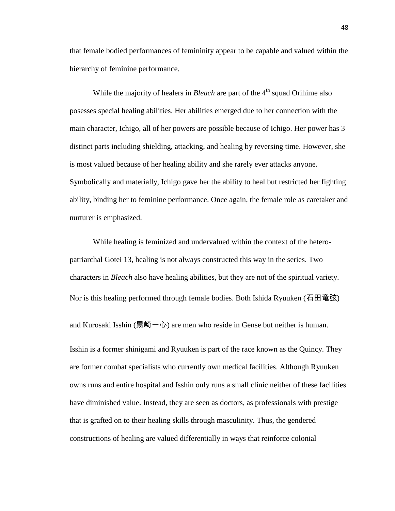that female bodied performances of femininity appear to be capable and valued within the hierarchy of feminine performance.

While the majority of healers in *Bleach* are part of the 4<sup>th</sup> squad Orihime also posesses special healing abilities. Her abilities emerged due to her connection with the main character, Ichigo, all of her powers are possible because of Ichigo. Her power has 3 distinct parts including shielding, attacking, and healing by reversing time. However, she is most valued because of her healing ability and she rarely ever attacks anyone. Symbolically and materially, Ichigo gave her the ability to heal but restricted her fighting ability, binding her to feminine performance. Once again, the female role as caretaker and nurturer is emphasized.

While healing is feminized and undervalued within the context of the heteropatriarchal Gotei 13, healing is not always constructed this way in the series. Two characters in *Bleach* also have healing abilities, but they are not of the spiritual variety. Nor is this healing performed through female bodies. Both Ishida Ryuuken (石田竜弦)

and Kurosaki Isshin (黒崎一心) are men who reside in Gense but neither is human.

Isshin is a former shinigami and Ryuuken is part of the race known as the Quincy. They are former combat specialists who currently own medical facilities. Although Ryuuken owns runs and entire hospital and Isshin only runs a small clinic neither of these facilities have diminished value. Instead, they are seen as doctors, as professionals with prestige that is grafted on to their healing skills through masculinity. Thus, the gendered constructions of healing are valued differentially in ways that reinforce colonial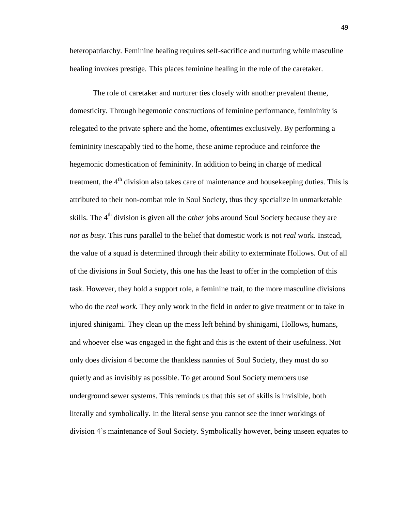heteropatriarchy. Feminine healing requires self-sacrifice and nurturing while masculine healing invokes prestige. This places feminine healing in the role of the caretaker.

The role of caretaker and nurturer ties closely with another prevalent theme, domesticity. Through hegemonic constructions of feminine performance, femininity is relegated to the private sphere and the home, oftentimes exclusively. By performing a femininity inescapably tied to the home, these anime reproduce and reinforce the hegemonic domestication of femininity. In addition to being in charge of medical treatment, the  $4<sup>th</sup>$  division also takes care of maintenance and housekeeping duties. This is attributed to their non-combat role in Soul Society, thus they specialize in unmarketable skills. The 4<sup>th</sup> division is given all the *other* jobs around Soul Society because they are *not as busy.* This runs parallel to the belief that domestic work is not *real* work. Instead, the value of a squad is determined through their ability to exterminate Hollows. Out of all of the divisions in Soul Society, this one has the least to offer in the completion of this task. However, they hold a support role, a feminine trait, to the more masculine divisions who do the *real work.* They only work in the field in order to give treatment or to take in injured shinigami. They clean up the mess left behind by shinigami, Hollows, humans, and whoever else was engaged in the fight and this is the extent of their usefulness. Not only does division 4 become the thankless nannies of Soul Society, they must do so quietly and as invisibly as possible. To get around Soul Society members use underground sewer systems. This reminds us that this set of skills is invisible, both literally and symbolically. In the literal sense you cannot see the inner workings of division 4's maintenance of Soul Society. Symbolically however, being unseen equates to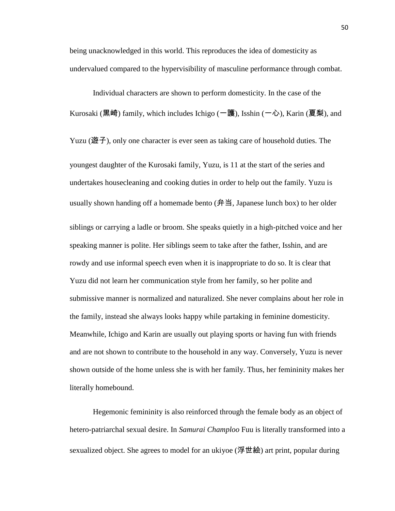being unacknowledged in this world. This reproduces the idea of domesticity as undervalued compared to the hypervisibility of masculine performance through combat.

Individual characters are shown to perform domesticity. In the case of the Kurosaki (黒崎) family, which includes Ichigo (一護), Isshin (一心), Karin (夏梨), and

Yuzu (遊子), only one character is ever seen as taking care of household duties. The youngest daughter of the Kurosaki family, Yuzu, is 11 at the start of the series and undertakes housecleaning and cooking duties in order to help out the family. Yuzu is usually shown handing off a homemade bento  $(f\ddot{+}H\ddot{=}S)$ , Japanese lunch box) to her older

siblings or carrying a ladle or broom. She speaks quietly in a high-pitched voice and her speaking manner is polite. Her siblings seem to take after the father, Isshin, and are rowdy and use informal speech even when it is inappropriate to do so. It is clear that Yuzu did not learn her communication style from her family, so her polite and submissive manner is normalized and naturalized. She never complains about her role in the family, instead she always looks happy while partaking in feminine domesticity. Meanwhile, Ichigo and Karin are usually out playing sports or having fun with friends and are not shown to contribute to the household in any way. Conversely, Yuzu is never shown outside of the home unless she is with her family. Thus, her femininity makes her literally homebound.

Hegemonic femininity is also reinforced through the female body as an object of hetero-patriarchal sexual desire. In *Samurai Champloo* Fuu is literally transformed into a sexualized object. She agrees to model for an ukiyoe (浮世絵) art print, popular during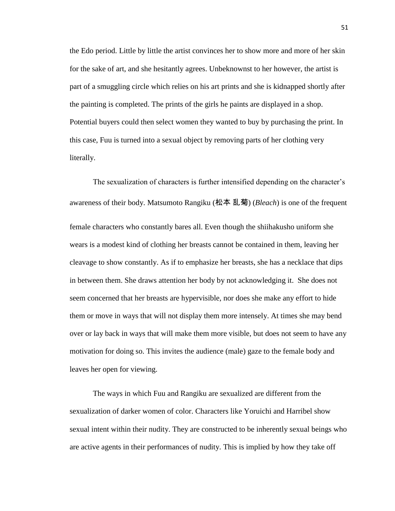the Edo period. Little by little the artist convinces her to show more and more of her skin for the sake of art, and she hesitantly agrees. Unbeknownst to her however, the artist is part of a smuggling circle which relies on his art prints and she is kidnapped shortly after the painting is completed. The prints of the girls he paints are displayed in a shop. Potential buyers could then select women they wanted to buy by purchasing the print. In this case, Fuu is turned into a sexual object by removing parts of her clothing very literally.

The sexualization of characters is further intensified depending on the character's awareness of their body. Matsumoto Rangiku (松本 乱菊) (*Bleach*) is one of the frequent female characters who constantly bares all. Even though the shiihakusho uniform she wears is a modest kind of clothing her breasts cannot be contained in them, leaving her cleavage to show constantly. As if to emphasize her breasts, she has a necklace that dips in between them. She draws attention her body by not acknowledging it. She does not seem concerned that her breasts are hypervisible, nor does she make any effort to hide them or move in ways that will not display them more intensely. At times she may bend over or lay back in ways that will make them more visible, but does not seem to have any motivation for doing so. This invites the audience (male) gaze to the female body and leaves her open for viewing.

The ways in which Fuu and Rangiku are sexualized are different from the sexualization of darker women of color. Characters like Yoruichi and Harribel show sexual intent within their nudity. They are constructed to be inherently sexual beings who are active agents in their performances of nudity. This is implied by how they take off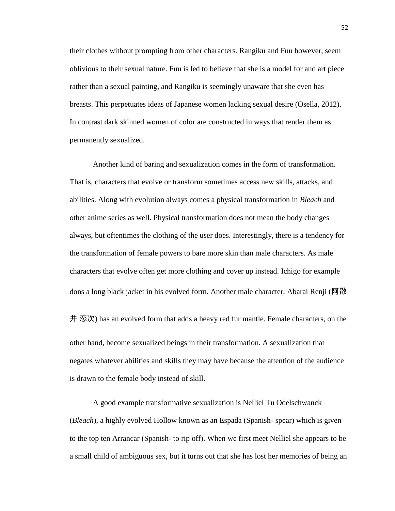their clothes without prompting from other characters. Rangiku and Fuu however, seem oblivious to their sexual nature. Fuu is led to believe that she is a model for and art piece rather than a sexual painting, and Rangiku is seemingly unaware that she even has breasts. This perpetuates ideas of Japanese women lacking sexual desire (Osella, 2012). In contrast dark skinned women of color are constructed in ways that render them as permanently sexualized.

Another kind of baring and sexualization comes in the form of transformation. That is, characters that evolve or transform sometimes access new skills, attacks, and abilities. Along with evolution always comes a physical transformation in *Bleach* and other anime series as well. Physical transformation does not mean the body changes always, but oftentimes the clothing of the user does. Interestingly, there is a tendency for the transformation of female powers to bare more skin than male characters. As male characters that evolve often get more clothing and cover up instead. Ichigo for example dons a long black jacket in his evolved form. Another male character, Abarai Renji (阿散

井 恋次) has an evolved form that adds a heavy red fur mantle. Female characters, on the other hand, become sexualized beings in their transformation. A sexualization that negates whatever abilities and skills they may have because the attention of the audience is drawn to the female body instead of skill.

A good example transformative sexualization is Nelliel Tu Odelschwanck (*Bleach*), a highly evolved Hollow known as an Espada (Spanish- spear) which is given to the top ten Arrancar (Spanish- to rip off). When we first meet Nelliel she appears to be a small child of ambiguous sex, but it turns out that she has lost her memories of being an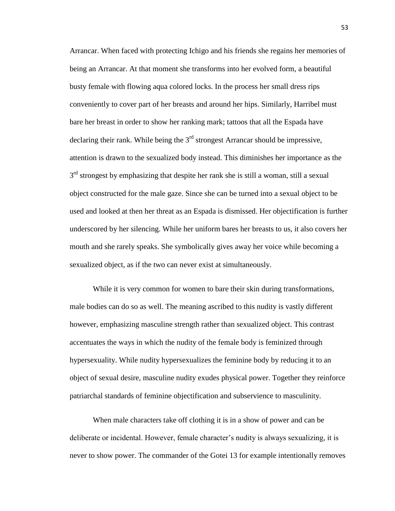Arrancar. When faced with protecting Ichigo and his friends she regains her memories of being an Arrancar. At that moment she transforms into her evolved form, a beautiful busty female with flowing aqua colored locks. In the process her small dress rips conveniently to cover part of her breasts and around her hips. Similarly, Harribel must bare her breast in order to show her ranking mark; tattoos that all the Espada have declaring their rank. While being the  $3<sup>rd</sup>$  strongest Arrancar should be impressive, attention is drawn to the sexualized body instead. This diminishes her importance as the 3<sup>rd</sup> strongest by emphasizing that despite her rank she is still a woman, still a sexual object constructed for the male gaze. Since she can be turned into a sexual object to be used and looked at then her threat as an Espada is dismissed. Her objectification is further underscored by her silencing. While her uniform bares her breasts to us, it also covers her mouth and she rarely speaks. She symbolically gives away her voice while becoming a sexualized object, as if the two can never exist at simultaneously.

While it is very common for women to bare their skin during transformations, male bodies can do so as well. The meaning ascribed to this nudity is vastly different however, emphasizing masculine strength rather than sexualized object. This contrast accentuates the ways in which the nudity of the female body is feminized through hypersexuality. While nudity hypersexualizes the feminine body by reducing it to an object of sexual desire, masculine nudity exudes physical power. Together they reinforce patriarchal standards of feminine objectification and subservience to masculinity.

When male characters take off clothing it is in a show of power and can be deliberate or incidental. However, female character's nudity is always sexualizing, it is never to show power. The commander of the Gotei 13 for example intentionally removes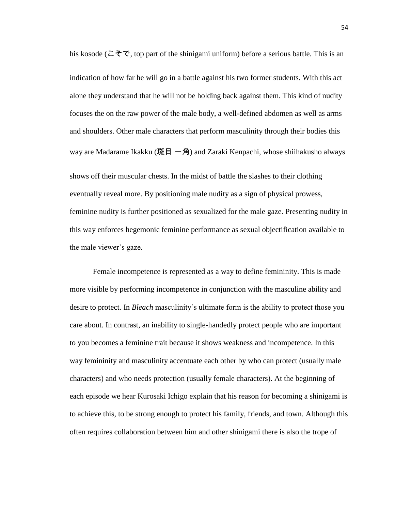indication of how far he will go in a battle against his two former students. With this act alone they understand that he will not be holding back against them. This kind of nudity focuses the on the raw power of the male body, a well-defined abdomen as well as arms and shoulders. Other male characters that perform masculinity through their bodies this way are Madarame Ikakku (斑目 一角) and Zaraki Kenpachi, whose shiihakusho always shows off their muscular chests. In the midst of battle the slashes to their clothing eventually reveal more. By positioning male nudity as a sign of physical prowess, feminine nudity is further positioned as sexualized for the male gaze. Presenting nudity in this way enforces hegemonic feminine performance as sexual objectification available to the male viewer's gaze.

his kosode (こそで, top part of the shinigami uniform) before a serious battle. This is an

Female incompetence is represented as a way to define femininity. This is made more visible by performing incompetence in conjunction with the masculine ability and desire to protect. In *Bleach* masculinity's ultimate form is the ability to protect those you care about. In contrast, an inability to single-handedly protect people who are important to you becomes a feminine trait because it shows weakness and incompetence. In this way femininity and masculinity accentuate each other by who can protect (usually male characters) and who needs protection (usually female characters). At the beginning of each episode we hear Kurosaki Ichigo explain that his reason for becoming a shinigami is to achieve this, to be strong enough to protect his family, friends, and town. Although this often requires collaboration between him and other shinigami there is also the trope of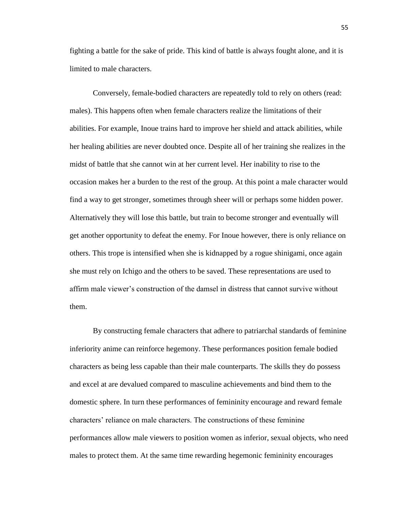fighting a battle for the sake of pride. This kind of battle is always fought alone, and it is limited to male characters.

Conversely, female-bodied characters are repeatedly told to rely on others (read: males). This happens often when female characters realize the limitations of their abilities. For example, Inoue trains hard to improve her shield and attack abilities, while her healing abilities are never doubted once. Despite all of her training she realizes in the midst of battle that she cannot win at her current level. Her inability to rise to the occasion makes her a burden to the rest of the group. At this point a male character would find a way to get stronger, sometimes through sheer will or perhaps some hidden power. Alternatively they will lose this battle, but train to become stronger and eventually will get another opportunity to defeat the enemy. For Inoue however, there is only reliance on others. This trope is intensified when she is kidnapped by a rogue shinigami, once again she must rely on Ichigo and the others to be saved. These representations are used to affirm male viewer's construction of the damsel in distress that cannot survive without them.

By constructing female characters that adhere to patriarchal standards of feminine inferiority anime can reinforce hegemony. These performances position female bodied characters as being less capable than their male counterparts. The skills they do possess and excel at are devalued compared to masculine achievements and bind them to the domestic sphere. In turn these performances of femininity encourage and reward female characters' reliance on male characters. The constructions of these feminine performances allow male viewers to position women as inferior, sexual objects, who need males to protect them. At the same time rewarding hegemonic femininity encourages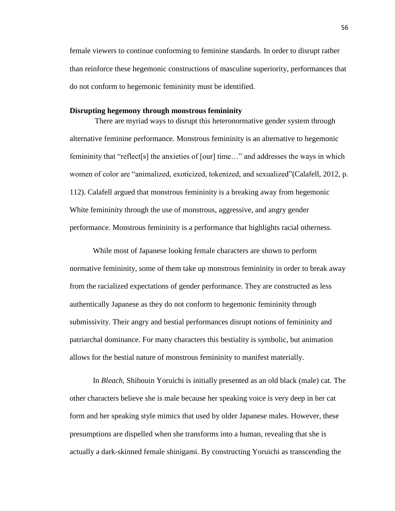female viewers to continue conforming to feminine standards. In order to disrupt rather than reinforce these hegemonic constructions of masculine superiority, performances that do not conform to hegemonic femininity must be identified.

## **Disrupting hegemony through monstrous femininity**

There are myriad ways to disrupt this heteronormative gender system through alternative feminine performance. Monstrous femininity is an alternative to hegemonic femininity that "reflect[s] the anxieties of [our] time…" and addresses the ways in which women of color are "animalized, exoticized, tokenized, and sexualized"(Calafell, 2012, p. 112). Calafell argued that monstrous femininity is a breaking away from hegemonic White femininity through the use of monstrous, aggressive, and angry gender performance. Monstrous femininity is a performance that highlights racial otherness.

While most of Japanese looking female characters are shown to perform normative femininity, some of them take up monstrous femininity in order to break away from the racialized expectations of gender performance. They are constructed as less authentically Japanese as they do not conform to hegemonic femininity through submissivity. Their angry and bestial performances disrupt notions of femininity and patriarchal dominance. For many characters this bestiality is symbolic, but animation allows for the bestial nature of monstrous femininity to manifest materially.

In *Bleach,* Shihouin Yoruichi is initially presented as an old black (male) cat. The other characters believe she is male because her speaking voice is very deep in her cat form and her speaking style mimics that used by older Japanese males. However, these presumptions are dispelled when she transforms into a human, revealing that she is actually a dark-skinned female shinigami. By constructing Yoruichi as transcending the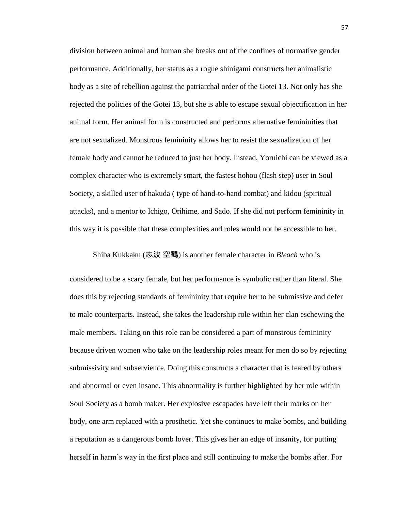division between animal and human she breaks out of the confines of normative gender performance. Additionally, her status as a rogue shinigami constructs her animalistic body as a site of rebellion against the patriarchal order of the Gotei 13. Not only has she rejected the policies of the Gotei 13, but she is able to escape sexual objectification in her animal form. Her animal form is constructed and performs alternative femininities that are not sexualized. Monstrous femininity allows her to resist the sexualization of her female body and cannot be reduced to just her body. Instead, Yoruichi can be viewed as a complex character who is extremely smart, the fastest hohou (flash step) user in Soul Society, a skilled user of hakuda ( type of hand-to-hand combat) and kidou (spiritual attacks), and a mentor to Ichigo, Orihime, and Sado. If she did not perform femininity in this way it is possible that these complexities and roles would not be accessible to her.

Shiba Kukkaku (志波 空鶴) is another female character in *Bleach* who is

considered to be a scary female, but her performance is symbolic rather than literal. She does this by rejecting standards of femininity that require her to be submissive and defer to male counterparts. Instead, she takes the leadership role within her clan eschewing the male members. Taking on this role can be considered a part of monstrous femininity because driven women who take on the leadership roles meant for men do so by rejecting submissivity and subservience. Doing this constructs a character that is feared by others and abnormal or even insane. This abnormality is further highlighted by her role within Soul Society as a bomb maker. Her explosive escapades have left their marks on her body, one arm replaced with a prosthetic. Yet she continues to make bombs, and building a reputation as a dangerous bomb lover. This gives her an edge of insanity, for putting herself in harm's way in the first place and still continuing to make the bombs after. For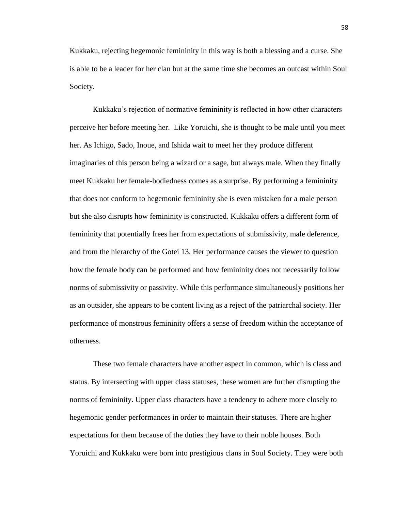Kukkaku, rejecting hegemonic femininity in this way is both a blessing and a curse. She is able to be a leader for her clan but at the same time she becomes an outcast within Soul Society.

Kukkaku's rejection of normative femininity is reflected in how other characters perceive her before meeting her. Like Yoruichi, she is thought to be male until you meet her. As Ichigo, Sado, Inoue, and Ishida wait to meet her they produce different imaginaries of this person being a wizard or a sage, but always male. When they finally meet Kukkaku her female-bodiedness comes as a surprise. By performing a femininity that does not conform to hegemonic femininity she is even mistaken for a male person but she also disrupts how femininity is constructed. Kukkaku offers a different form of femininity that potentially frees her from expectations of submissivity, male deference, and from the hierarchy of the Gotei 13. Her performance causes the viewer to question how the female body can be performed and how femininity does not necessarily follow norms of submissivity or passivity. While this performance simultaneously positions her as an outsider, she appears to be content living as a reject of the patriarchal society. Her performance of monstrous femininity offers a sense of freedom within the acceptance of otherness.

These two female characters have another aspect in common, which is class and status. By intersecting with upper class statuses, these women are further disrupting the norms of femininity. Upper class characters have a tendency to adhere more closely to hegemonic gender performances in order to maintain their statuses. There are higher expectations for them because of the duties they have to their noble houses. Both Yoruichi and Kukkaku were born into prestigious clans in Soul Society. They were both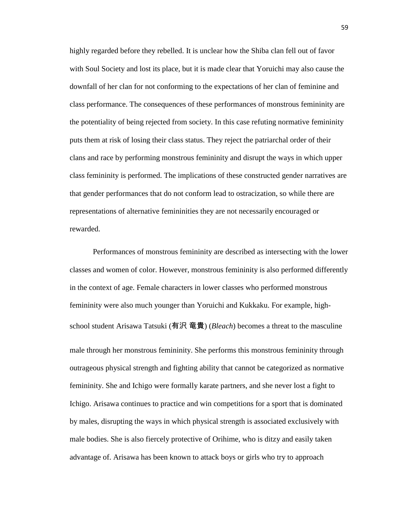highly regarded before they rebelled. It is unclear how the Shiba clan fell out of favor with Soul Society and lost its place, but it is made clear that Yoruichi may also cause the downfall of her clan for not conforming to the expectations of her clan of feminine and class performance. The consequences of these performances of monstrous femininity are the potentiality of being rejected from society. In this case refuting normative femininity puts them at risk of losing their class status. They reject the patriarchal order of their clans and race by performing monstrous femininity and disrupt the ways in which upper class femininity is performed. The implications of these constructed gender narratives are that gender performances that do not conform lead to ostracization, so while there are representations of alternative femininities they are not necessarily encouraged or rewarded.

Performances of monstrous femininity are described as intersecting with the lower classes and women of color. However, monstrous femininity is also performed differently in the context of age. Female characters in lower classes who performed monstrous femininity were also much younger than Yoruichi and Kukkaku. For example, highschool student Arisawa Tatsuki (有沢 竜貴) (*Bleach*) becomes a threat to the masculine male through her monstrous femininity. She performs this monstrous femininity through outrageous physical strength and fighting ability that cannot be categorized as normative femininity. She and Ichigo were formally karate partners, and she never lost a fight to Ichigo. Arisawa continues to practice and win competitions for a sport that is dominated by males, disrupting the ways in which physical strength is associated exclusively with male bodies. She is also fiercely protective of Orihime, who is ditzy and easily taken advantage of. Arisawa has been known to attack boys or girls who try to approach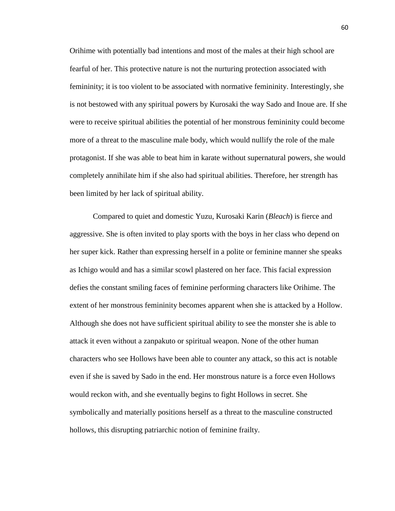Orihime with potentially bad intentions and most of the males at their high school are fearful of her. This protective nature is not the nurturing protection associated with femininity; it is too violent to be associated with normative femininity. Interestingly, she is not bestowed with any spiritual powers by Kurosaki the way Sado and Inoue are. If she were to receive spiritual abilities the potential of her monstrous femininity could become more of a threat to the masculine male body, which would nullify the role of the male protagonist. If she was able to beat him in karate without supernatural powers, she would completely annihilate him if she also had spiritual abilities. Therefore, her strength has been limited by her lack of spiritual ability.

Compared to quiet and domestic Yuzu, Kurosaki Karin (*Bleach*) is fierce and aggressive. She is often invited to play sports with the boys in her class who depend on her super kick. Rather than expressing herself in a polite or feminine manner she speaks as Ichigo would and has a similar scowl plastered on her face. This facial expression defies the constant smiling faces of feminine performing characters like Orihime. The extent of her monstrous femininity becomes apparent when she is attacked by a Hollow. Although she does not have sufficient spiritual ability to see the monster she is able to attack it even without a zanpakuto or spiritual weapon. None of the other human characters who see Hollows have been able to counter any attack, so this act is notable even if she is saved by Sado in the end. Her monstrous nature is a force even Hollows would reckon with, and she eventually begins to fight Hollows in secret. She symbolically and materially positions herself as a threat to the masculine constructed hollows, this disrupting patriarchic notion of feminine frailty.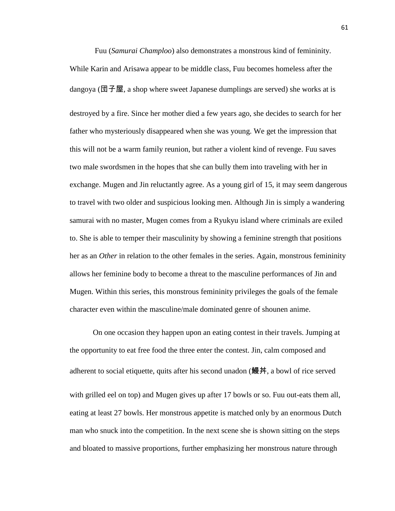Fuu (*Samurai Champloo*) also demonstrates a monstrous kind of femininity. While Karin and Arisawa appear to be middle class, Fuu becomes homeless after the dangoya (団子屋, a shop where sweet Japanese dumplings are served) she works at is destroyed by a fire. Since her mother died a few years ago, she decides to search for her father who mysteriously disappeared when she was young. We get the impression that this will not be a warm family reunion, but rather a violent kind of revenge. Fuu saves two male swordsmen in the hopes that she can bully them into traveling with her in exchange. Mugen and Jin reluctantly agree. As a young girl of 15, it may seem dangerous to travel with two older and suspicious looking men. Although Jin is simply a wandering samurai with no master, Mugen comes from a Ryukyu island where criminals are exiled to. She is able to temper their masculinity by showing a feminine strength that positions her as an *Other* in relation to the other females in the series. Again, monstrous femininity allows her feminine body to become a threat to the masculine performances of Jin and Mugen. Within this series, this monstrous femininity privileges the goals of the female character even within the masculine/male dominated genre of shounen anime.

On one occasion they happen upon an eating contest in their travels. Jumping at the opportunity to eat free food the three enter the contest. Jin, calm composed and adherent to social etiquette, quits after his second unadon (鰻丼, a bowl of rice served with grilled eel on top) and Mugen gives up after 17 bowls or so. Fuu out-eats them all, eating at least 27 bowls. Her monstrous appetite is matched only by an enormous Dutch man who snuck into the competition. In the next scene she is shown sitting on the steps and bloated to massive proportions, further emphasizing her monstrous nature through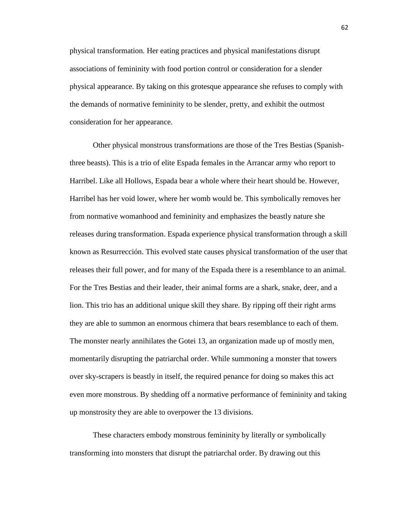physical transformation. Her eating practices and physical manifestations disrupt associations of femininity with food portion control or consideration for a slender physical appearance. By taking on this grotesque appearance she refuses to comply with the demands of normative femininity to be slender, pretty, and exhibit the outmost consideration for her appearance.

Other physical monstrous transformations are those of the Tres Bestias (Spanishthree beasts). This is a trio of elite Espada females in the Arrancar army who report to Harribel. Like all Hollows, Espada bear a whole where their heart should be. However, Harribel has her void lower, where her womb would be. This symbolically removes her from normative womanhood and femininity and emphasizes the beastly nature she releases during transformation. Espada experience physical transformation through a skill known as Resurrección. This evolved state causes physical transformation of the user that releases their full power, and for many of the Espada there is a resemblance to an animal. For the Tres Bestias and their leader, their animal forms are a shark, snake, deer, and a lion. This trio has an additional unique skill they share. By ripping off their right arms they are able to summon an enormous chimera that bears resemblance to each of them. The monster nearly annihilates the Gotei 13, an organization made up of mostly men, momentarily disrupting the patriarchal order. While summoning a monster that towers over sky-scrapers is beastly in itself, the required penance for doing so makes this act even more monstrous. By shedding off a normative performance of femininity and taking up monstrosity they are able to overpower the 13 divisions.

These characters embody monstrous femininity by literally or symbolically transforming into monsters that disrupt the patriarchal order. By drawing out this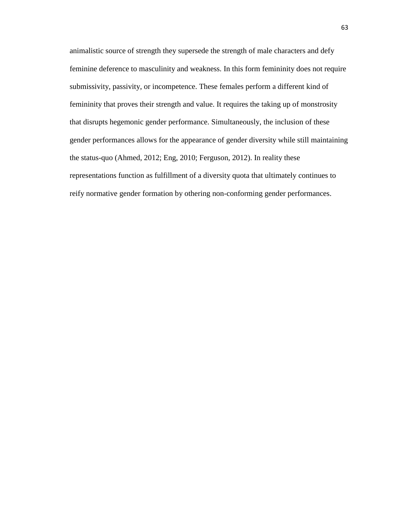animalistic source of strength they supersede the strength of male characters and defy feminine deference to masculinity and weakness. In this form femininity does not require submissivity, passivity, or incompetence. These females perform a different kind of femininity that proves their strength and value. It requires the taking up of monstrosity that disrupts hegemonic gender performance. Simultaneously, the inclusion of these gender performances allows for the appearance of gender diversity while still maintaining the status-quo (Ahmed, 2012; Eng, 2010; Ferguson, 2012). In reality these representations function as fulfillment of a diversity quota that ultimately continues to reify normative gender formation by othering non-conforming gender performances.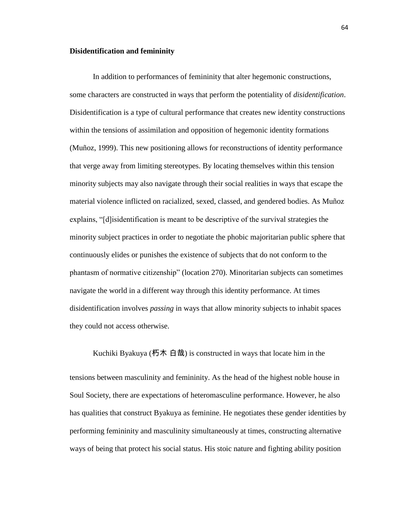## **Disidentification and femininity**

In addition to performances of femininity that alter hegemonic constructions, some characters are constructed in ways that perform the potentiality of *disidentification*. Disidentification is a type of cultural performance that creates new identity constructions within the tensions of assimilation and opposition of hegemonic identity formations (Muñoz, 1999). This new positioning allows for reconstructions of identity performance that verge away from limiting stereotypes. By locating themselves within this tension minority subjects may also navigate through their social realities in ways that escape the material violence inflicted on racialized, sexed, classed, and gendered bodies. As Muñoz explains, "[d]isidentification is meant to be descriptive of the survival strategies the minority subject practices in order to negotiate the phobic majoritarian public sphere that continuously elides or punishes the existence of subjects that do not conform to the phantasm of normative citizenship" (location 270). Minoritarian subjects can sometimes navigate the world in a different way through this identity performance. At times disidentification involves *passing* in ways that allow minority subjects to inhabit spaces they could not access otherwise.

tensions between masculinity and femininity. As the head of the highest noble house in Soul Society, there are expectations of heteromasculine performance. However, he also has qualities that construct Byakuya as feminine. He negotiates these gender identities by performing femininity and masculinity simultaneously at times, constructing alternative ways of being that protect his social status. His stoic nature and fighting ability position

Kuchiki Byakuya (朽木 白哉) is constructed in ways that locate him in the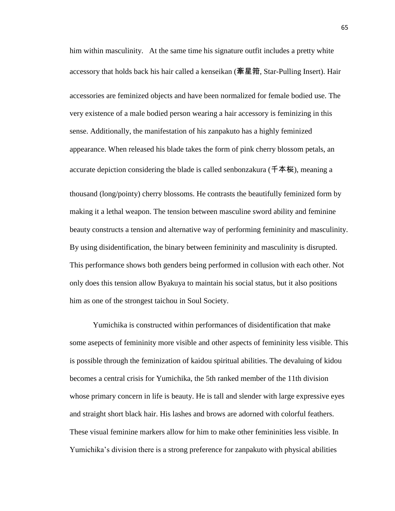him within masculinity. At the same time his signature outfit includes a pretty white accessory that holds back his hair called a kenseikan (牽星箝, Star-Pulling Insert). Hair accessories are feminized objects and have been normalized for female bodied use. The very existence of a male bodied person wearing a hair accessory is feminizing in this sense. Additionally, the manifestation of his zanpakuto has a highly feminized appearance. When released his blade takes the form of pink cherry blossom petals, an accurate depiction considering the blade is called senbonzakura (千本桜), meaning a thousand (long/pointy) cherry blossoms. He contrasts the beautifully feminized form by making it a lethal weapon. The tension between masculine sword ability and feminine beauty constructs a tension and alternative way of performing femininity and masculinity. By using disidentification, the binary between femininity and masculinity is disrupted. This performance shows both genders being performed in collusion with each other. Not only does this tension allow Byakuya to maintain his social status, but it also positions him as one of the strongest taichou in Soul Society.

Yumichika is constructed within performances of disidentification that make some asepects of femininity more visible and other aspects of femininity less visible. This is possible through the feminization of kaidou spiritual abilities. The devaluing of kidou becomes a central crisis for Yumichika, the 5th ranked member of the 11th division whose primary concern in life is beauty. He is tall and slender with large expressive eyes and straight short black hair. His lashes and brows are adorned with colorful feathers. These visual feminine markers allow for him to make other femininities less visible. In Yumichika's division there is a strong preference for zanpakuto with physical abilities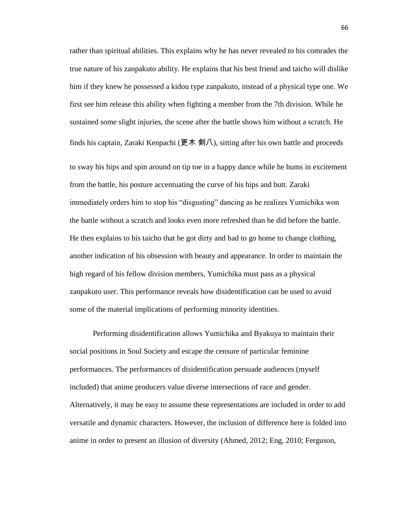rather than spiritual abilities. This explains why he has never revealed to his comrades the true nature of his zanpakuto ability. He explains that his best friend and taicho will dislike him if they knew he possessed a kidou type zanpakuto, instead of a physical type one. We first see him release this ability when fighting a member from the 7th division. While he sustained some slight injuries, the scene after the battle shows him without a scratch. He finds his captain, Zaraki Kenpachi (更木 剣八), sitting after his own battle and proceeds to sway his hips and spin around on tip toe in a happy dance while he hums in excitement from the battle, his posture accentuating the curve of his hips and butt. Zaraki immediately orders him to stop his "disgusting" dancing as he realizes Yumichika won the battle without a scratch and looks even more refreshed than he did before the battle. He then explains to his taicho that he got dirty and had to go home to change clothing, another indication of his obsession with beauty and appearance. In order to maintain the high regard of his fellow division members, Yumichika must pass as a physical zanpakuto user. This performance reveals how disidentification can be used to avoid some of the material implications of performing minority identities.

Performing disidentification allows Yumichika and Byakuya to maintain their social positions in Soul Society and escape the censure of particular feminine performances. The performances of disidentification persuade audiences (myself included) that anime producers value diverse intersections of race and gender. Alternatively, it may be easy to assume these representations are included in order to add versatile and dynamic characters. However, the inclusion of difference here is folded into anime in order to present an illusion of diversity (Ahmed, 2012; Eng, 2010; Ferguson,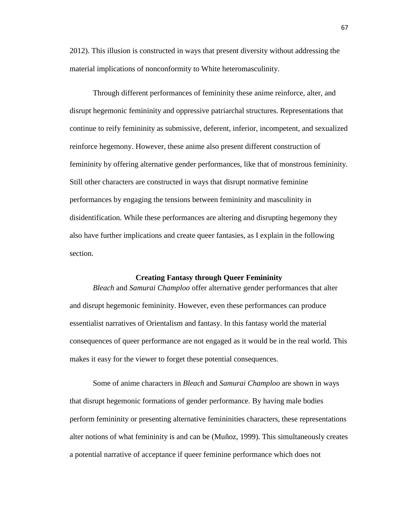2012). This illusion is constructed in ways that present diversity without addressing the material implications of nonconformity to White heteromasculinity.

Through different performances of femininity these anime reinforce, alter, and disrupt hegemonic femininity and oppressive patriarchal structures. Representations that continue to reify femininity as submissive, deferent, inferior, incompetent, and sexualized reinforce hegemony. However, these anime also present different construction of femininity by offering alternative gender performances, like that of monstrous femininity. Still other characters are constructed in ways that disrupt normative feminine performances by engaging the tensions between femininity and masculinity in disidentification. While these performances are altering and disrupting hegemony they also have further implications and create queer fantasies, as I explain in the following section.

## **Creating Fantasy through Queer Femininity**

*Bleach* and *Samurai Champloo* offer alternative gender performances that alter and disrupt hegemonic femininity. However, even these performances can produce essentialist narratives of Orientalism and fantasy. In this fantasy world the material consequences of queer performance are not engaged as it would be in the real world. This makes it easy for the viewer to forget these potential consequences.

Some of anime characters in *Bleach* and *Samurai Champloo* are shown in ways that disrupt hegemonic formations of gender performance. By having male bodies perform femininity or presenting alternative femininities characters, these representations alter notions of what femininity is and can be (Muñoz, 1999). This simultaneously creates a potential narrative of acceptance if queer feminine performance which does not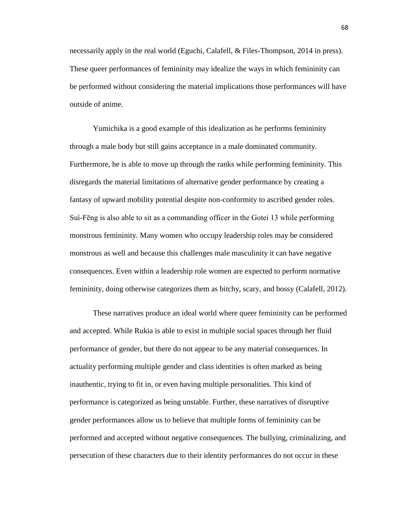necessarily apply in the real world (Eguchi, Calafell, & Files-Thompson, 2014 in press). These queer performances of femininity may idealize the ways in which femininity can be performed without considering the material implications those performances will have outside of anime.

Yumichika is a good example of this idealization as he performs femininity through a male body but still gains acceptance in a male dominated community. Furthermore, he is able to move up through the ranks while performing femininity. This disregards the material limitations of alternative gender performance by creating a fantasy of upward mobility potential despite non-conformity to ascribed gender roles. Suì-Fēng is also able to sit as a commanding officer in the Gotei 13 while performing monstrous femininity. Many women who occupy leadership roles may be considered monstrous as well and because this challenges male masculinity it can have negative consequences. Even within a leadership role women are expected to perform normative femininity, doing otherwise categorizes them as bitchy, scary, and bossy (Calafell, 2012).

These narratives produce an ideal world where queer femininity can be performed and accepted. While Rukia is able to exist in multiple social spaces through her fluid performance of gender, but there do not appear to be any material consequences. In actuality performing multiple gender and class identities is often marked as being inauthentic, trying to fit in, or even having multiple personalities. This kind of performance is categorized as being unstable. Further, these narratives of disruptive gender performances allow us to believe that multiple forms of femininity can be performed and accepted without negative consequences. The bullying, criminalizing, and persecution of these characters due to their identity performances do not occur in these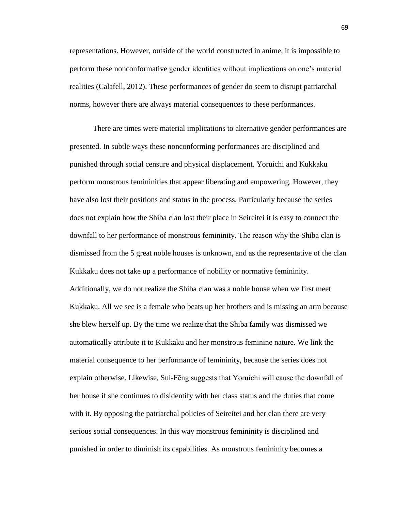representations. However, outside of the world constructed in anime, it is impossible to perform these nonconformative gender identities without implications on one's material realities (Calafell, 2012). These performances of gender do seem to disrupt patriarchal norms, however there are always material consequences to these performances.

There are times were material implications to alternative gender performances are presented. In subtle ways these nonconforming performances are disciplined and punished through social censure and physical displacement. Yoruichi and Kukkaku perform monstrous femininities that appear liberating and empowering. However, they have also lost their positions and status in the process. Particularly because the series does not explain how the Shiba clan lost their place in Seireitei it is easy to connect the downfall to her performance of monstrous femininity. The reason why the Shiba clan is dismissed from the 5 great noble houses is unknown, and as the representative of the clan Kukkaku does not take up a performance of nobility or normative femininity. Additionally, we do not realize the Shiba clan was a noble house when we first meet Kukkaku. All we see is a female who beats up her brothers and is missing an arm because she blew herself up. By the time we realize that the Shiba family was dismissed we automatically attribute it to Kukkaku and her monstrous feminine nature. We link the material consequence to her performance of femininity, because the series does not explain otherwise. Likewise, Suì-Fēng suggests that Yoruichi will cause the downfall of her house if she continues to disidentify with her class status and the duties that come with it. By opposing the patriarchal policies of Seireitei and her clan there are very serious social consequences. In this way monstrous femininity is disciplined and punished in order to diminish its capabilities. As monstrous femininity becomes a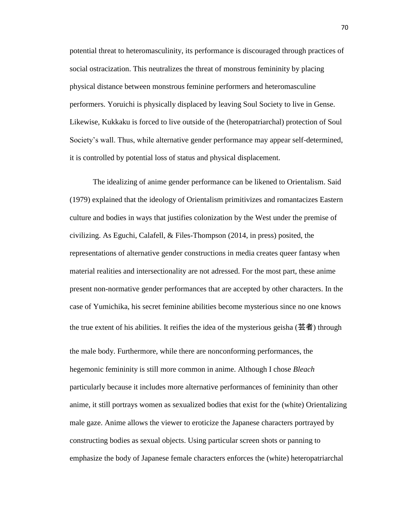potential threat to heteromasculinity, its performance is discouraged through practices of social ostracization. This neutralizes the threat of monstrous femininity by placing physical distance between monstrous feminine performers and heteromasculine performers. Yoruichi is physically displaced by leaving Soul Society to live in Gense. Likewise, Kukkaku is forced to live outside of the (heteropatriarchal) protection of Soul Society's wall. Thus, while alternative gender performance may appear self-determined, it is controlled by potential loss of status and physical displacement.

The idealizing of anime gender performance can be likened to Orientalism. Said (1979) explained that the ideology of Orientalism primitivizes and romantacizes Eastern culture and bodies in ways that justifies colonization by the West under the premise of civilizing. As Eguchi, Calafell, & Files-Thompson (2014, in press) posited, the representations of alternative gender constructions in media creates queer fantasy when material realities and intersectionality are not adressed. For the most part, these anime present non-normative gender performances that are accepted by other characters. In the case of Yumichika, his secret feminine abilities become mysterious since no one knows the true extent of his abilities. It reifies the idea of the mysterious geisha (芸者) through the male body. Furthermore, while there are nonconforming performances, the hegemonic femininity is still more common in anime. Although I chose *Bleach* particularly because it includes more alternative performances of femininity than other anime, it still portrays women as sexualized bodies that exist for the (white) Orientalizing male gaze. Anime allows the viewer to eroticize the Japanese characters portrayed by constructing bodies as sexual objects. Using particular screen shots or panning to emphasize the body of Japanese female characters enforces the (white) heteropatriarchal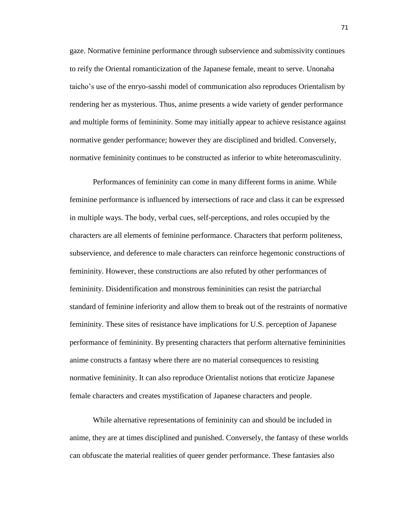gaze. Normative feminine performance through subservience and submissivity continues to reify the Oriental romanticization of the Japanese female, meant to serve. Unonaha taicho's use of the enryo-sasshi model of communication also reproduces Orientalism by rendering her as mysterious. Thus, anime presents a wide variety of gender performance and multiple forms of femininity. Some may initially appear to achieve resistance against normative gender performance; however they are disciplined and bridled. Conversely, normative femininity continues to be constructed as inferior to white heteromasculinity.

Performances of femininity can come in many different forms in anime. While feminine performance is influenced by intersections of race and class it can be expressed in multiple ways. The body, verbal cues, self-perceptions, and roles occupied by the characters are all elements of feminine performance. Characters that perform politeness, subservience, and deference to male characters can reinforce hegemonic constructions of femininity. However, these constructions are also refuted by other performances of femininity. Disidentification and monstrous femininities can resist the patriarchal standard of feminine inferiority and allow them to break out of the restraints of normative femininity. These sites of resistance have implications for U.S. perception of Japanese performance of femininity. By presenting characters that perform alternative femininities anime constructs a fantasy where there are no material consequences to resisting normative femininity. It can also reproduce Orientalist notions that eroticize Japanese female characters and creates mystification of Japanese characters and people.

While alternative representations of femininity can and should be included in anime, they are at times disciplined and punished. Conversely, the fantasy of these worlds can obfuscate the material realities of queer gender performance. These fantasies also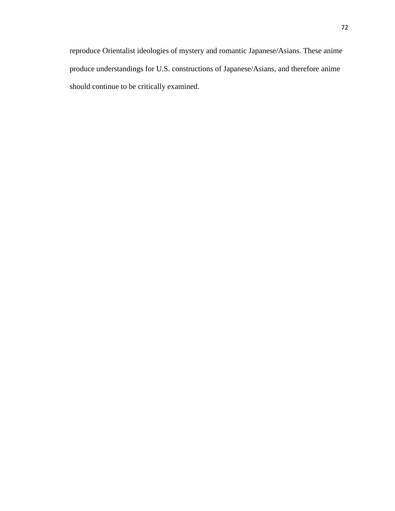reproduce Orientalist ideologies of mystery and romantic Japanese/Asians. These anime produce understandings for U.S. constructions of Japanese/Asians, and therefore anime should continue to be critically examined.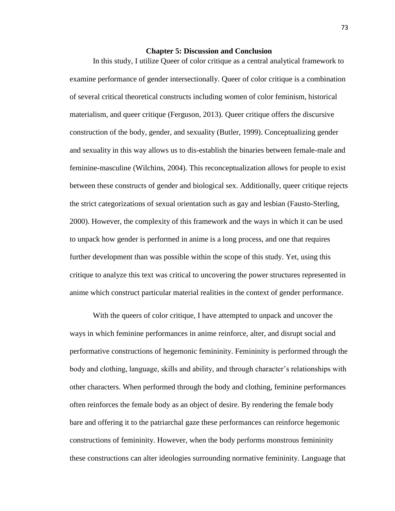## **Chapter 5: Discussion and Conclusion**

In this study, I utilize Queer of color critique as a central analytical framework to examine performance of gender intersectionally. Queer of color critique is a combination of several critical theoretical constructs including women of color feminism, historical materialism, and queer critique (Ferguson, 2013). Queer critique offers the discursive construction of the body, gender, and sexuality (Butler, 1999). Conceptualizing gender and sexuality in this way allows us to dis-establish the binaries between female-male and feminine-masculine (Wilchins, 2004). This reconceptualization allows for people to exist between these constructs of gender and biological sex. Additionally, queer critique rejects the strict categorizations of sexual orientation such as gay and lesbian (Fausto-Sterling, 2000). However, the complexity of this framework and the ways in which it can be used to unpack how gender is performed in anime is a long process, and one that requires further development than was possible within the scope of this study. Yet, using this critique to analyze this text was critical to uncovering the power structures represented in anime which construct particular material realities in the context of gender performance.

With the queers of color critique, I have attempted to unpack and uncover the ways in which feminine performances in anime reinforce, alter, and disrupt social and performative constructions of hegemonic femininity. Femininity is performed through the body and clothing, language, skills and ability, and through character's relationships with other characters. When performed through the body and clothing, feminine performances often reinforces the female body as an object of desire. By rendering the female body bare and offering it to the patriarchal gaze these performances can reinforce hegemonic constructions of femininity. However, when the body performs monstrous femininity these constructions can alter ideologies surrounding normative femininity. Language that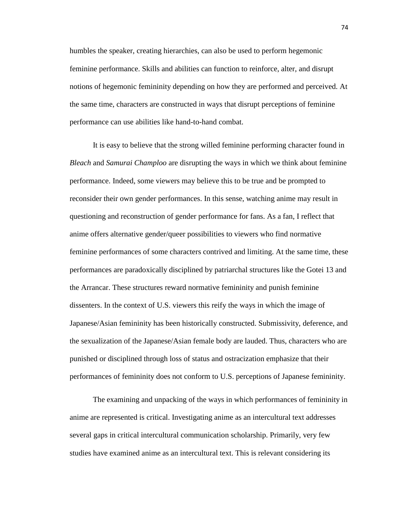humbles the speaker, creating hierarchies, can also be used to perform hegemonic feminine performance. Skills and abilities can function to reinforce, alter, and disrupt notions of hegemonic femininity depending on how they are performed and perceived. At the same time, characters are constructed in ways that disrupt perceptions of feminine performance can use abilities like hand-to-hand combat.

It is easy to believe that the strong willed feminine performing character found in *Bleach* and *Samurai Champloo* are disrupting the ways in which we think about feminine performance. Indeed, some viewers may believe this to be true and be prompted to reconsider their own gender performances. In this sense, watching anime may result in questioning and reconstruction of gender performance for fans. As a fan, I reflect that anime offers alternative gender/queer possibilities to viewers who find normative feminine performances of some characters contrived and limiting. At the same time, these performances are paradoxically disciplined by patriarchal structures like the Gotei 13 and the Arrancar. These structures reward normative femininity and punish feminine dissenters. In the context of U.S. viewers this reify the ways in which the image of Japanese/Asian femininity has been historically constructed. Submissivity, deference, and the sexualization of the Japanese/Asian female body are lauded. Thus, characters who are punished or disciplined through loss of status and ostracization emphasize that their performances of femininity does not conform to U.S. perceptions of Japanese femininity.

The examining and unpacking of the ways in which performances of femininity in anime are represented is critical. Investigating anime as an intercultural text addresses several gaps in critical intercultural communication scholarship. Primarily, very few studies have examined anime as an intercultural text. This is relevant considering its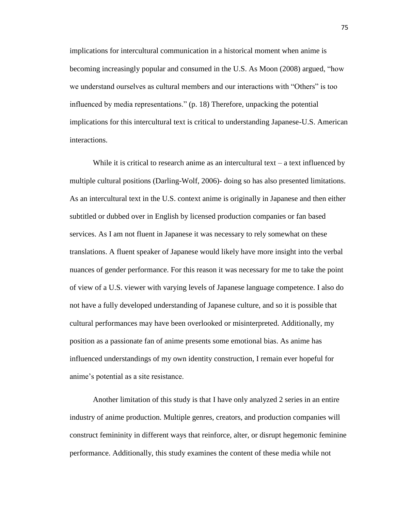implications for intercultural communication in a historical moment when anime is becoming increasingly popular and consumed in the U.S. As Moon (2008) argued, "how we understand ourselves as cultural members and our interactions with "Others" is too influenced by media representations." (p. 18) Therefore, unpacking the potential implications for this intercultural text is critical to understanding Japanese-U.S. American interactions.

While it is critical to research anime as an intercultural text – a text influenced by multiple cultural positions (Darling-Wolf, 2006)- doing so has also presented limitations. As an intercultural text in the U.S. context anime is originally in Japanese and then either subtitled or dubbed over in English by licensed production companies or fan based services. As I am not fluent in Japanese it was necessary to rely somewhat on these translations. A fluent speaker of Japanese would likely have more insight into the verbal nuances of gender performance. For this reason it was necessary for me to take the point of view of a U.S. viewer with varying levels of Japanese language competence. I also do not have a fully developed understanding of Japanese culture, and so it is possible that cultural performances may have been overlooked or misinterpreted. Additionally, my position as a passionate fan of anime presents some emotional bias. As anime has influenced understandings of my own identity construction, I remain ever hopeful for anime's potential as a site resistance.

Another limitation of this study is that I have only analyzed 2 series in an entire industry of anime production. Multiple genres, creators, and production companies will construct femininity in different ways that reinforce, alter, or disrupt hegemonic feminine performance. Additionally, this study examines the content of these media while not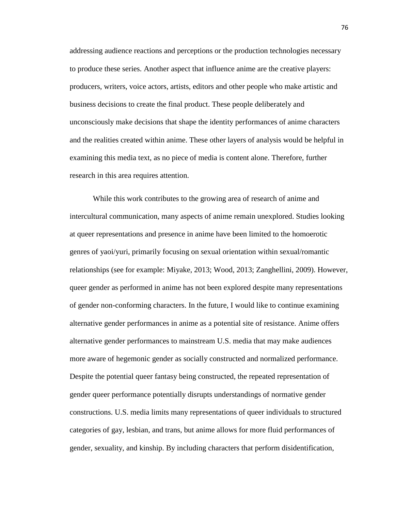addressing audience reactions and perceptions or the production technologies necessary to produce these series. Another aspect that influence anime are the creative players: producers, writers, voice actors, artists, editors and other people who make artistic and business decisions to create the final product. These people deliberately and unconsciously make decisions that shape the identity performances of anime characters and the realities created within anime. These other layers of analysis would be helpful in examining this media text, as no piece of media is content alone. Therefore, further research in this area requires attention.

While this work contributes to the growing area of research of anime and intercultural communication, many aspects of anime remain unexplored. Studies looking at queer representations and presence in anime have been limited to the homoerotic genres of yaoi/yuri, primarily focusing on sexual orientation within sexual/romantic relationships (see for example: Miyake, 2013; Wood, 2013; Zanghellini, 2009). However, queer gender as performed in anime has not been explored despite many representations of gender non-conforming characters. In the future, I would like to continue examining alternative gender performances in anime as a potential site of resistance. Anime offers alternative gender performances to mainstream U.S. media that may make audiences more aware of hegemonic gender as socially constructed and normalized performance. Despite the potential queer fantasy being constructed, the repeated representation of gender queer performance potentially disrupts understandings of normative gender constructions. U.S. media limits many representations of queer individuals to structured categories of gay, lesbian, and trans, but anime allows for more fluid performances of gender, sexuality, and kinship. By including characters that perform disidentification,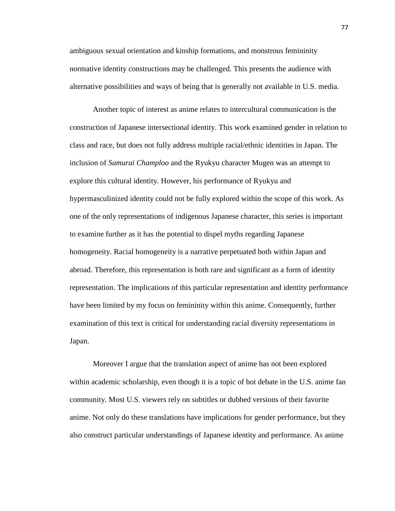ambiguous sexual orientation and kinship formations, and monstrous femininity normative identity constructions may be challenged. This presents the audience with alternative possibilities and ways of being that is generally not available in U.S. media.

Another topic of interest as anime relates to intercultural communication is the construction of Japanese intersectional identity. This work examined gender in relation to class and race, but does not fully address multiple racial/ethnic identities in Japan. The inclusion of *Samurai Champloo* and the Ryukyu character Mugen was an attempt to explore this cultural identity. However, his performance of Ryukyu and hypermasculinized identity could not be fully explored within the scope of this work. As one of the only representations of indigenous Japanese character, this series is important to examine further as it has the potential to dispel myths regarding Japanese homogeneity. Racial homogeneity is a narrative perpetuated both within Japan and abroad. Therefore, this representation is both rare and significant as a form of identity representation. The implications of this particular representation and identity performance have been limited by my focus on femininity within this anime. Consequently, further examination of this text is critical for understanding racial diversity representations in Japan.

Moreover I argue that the translation aspect of anime has not been explored within academic scholarship, even though it is a topic of hot debate in the U.S. anime fan community. Most U.S. viewers rely on subtitles or dubbed versions of their favorite anime. Not only do these translations have implications for gender performance, but they also construct particular understandings of Japanese identity and performance. As anime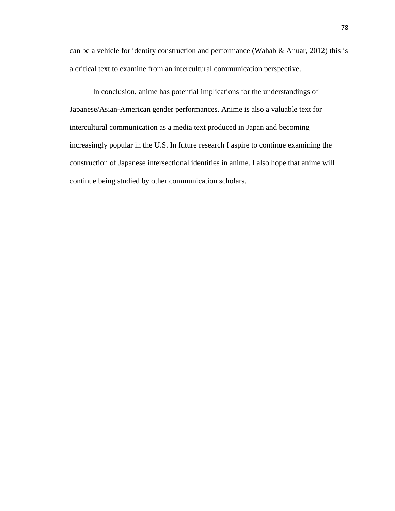can be a vehicle for identity construction and performance (Wahab  $\&$  Anuar, 2012) this is a critical text to examine from an intercultural communication perspective.

In conclusion, anime has potential implications for the understandings of Japanese/Asian-American gender performances. Anime is also a valuable text for intercultural communication as a media text produced in Japan and becoming increasingly popular in the U.S. In future research I aspire to continue examining the construction of Japanese intersectional identities in anime. I also hope that anime will continue being studied by other communication scholars.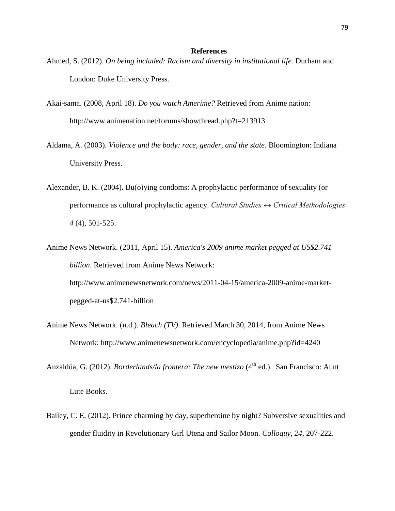## **References**

- Ahmed, S. (2012). *On being included: Racism and diversity in institutional life.* Durham and London: Duke University Press.
- Akai-sama. (2008, April 18). *Do you watch Amerime?* Retrieved from Anime nation: http://www.animenation.net/forums/showthread.php?t=213913
- Aldama, A. (2003). *Violence and the body: race, gender, and the state.* Bloomington: Indiana University Press.
- Alexander, B. K. (2004). Bu(o)ying condoms: A prophylactic performance of sexuality (or performance as cultural prophylactic agency. *Cultural Studies ↔ Critical Methodologies 4* (4), 501-525.
- Anime News Network. (2011, April 15). *America's 2009 anime market pegged at US\$2.741 billion*. Retrieved from Anime News Network: http://www.animenewsnetwork.com/news/2011-04-15/america-2009-anime-marketpegged-at-us\$2.741-billion
- Anime News Network. (n.d.). *Bleach (TV)*. Retrieved March 30, 2014, from Anime News Network: http://www.animenewsnetwork.com/encyclopedia/anime.php?id=4240
- Anzaldúa, G. (2012). *Borderlands/la frontera: The new mestizo* (4<sup>th</sup> ed.). San Francisco: Aunt Lute Books.
- Bailey, C. E. (2012). Prince charming by day, superheroine by night? Subversive sexualities and gender fluidity in Revolutionary Girl Utena and Sailor Moon. *Colloquy, 24*, 207-222.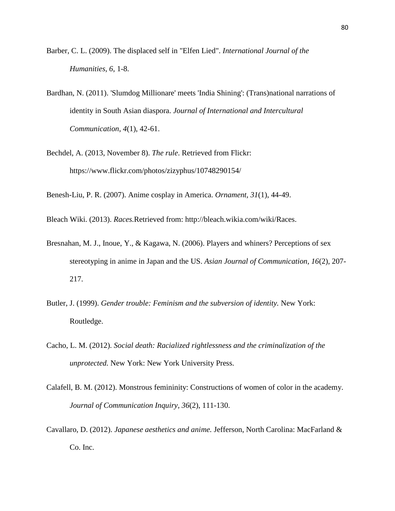- Barber, C. L. (2009). The displaced self in "Elfen Lied". *International Journal of the Humanities, 6*, 1-8.
- Bardhan, N. (2011). 'Slumdog Millionare' meets 'India Shining': (Trans)national narrations of identity in South Asian diaspora. *Journal of International and Intercultural Communication*, *4*(1), 42-61.
- Bechdel, A. (2013, November 8). *The rule*. Retrieved from Flickr: https://www.flickr.com/photos/zizyphus/10748290154/

Benesh-Liu, P. R. (2007). Anime cosplay in America. *Ornament, 31*(1), 44-49.

Bleach Wiki. (2013). *Races.*Retrieved from: http://bleach.wikia.com/wiki/Races.

- Bresnahan, M. J., Inoue, Y., & Kagawa, N. (2006). Players and whiners? Perceptions of sex stereotyping in anime in Japan and the US. *Asian Journal of Communication, 16*(2), 207- 217.
- Butler, J. (1999). *Gender trouble: Feminism and the subversion of identity.* New York: Routledge.
- Cacho, L. M. (2012). *Social death: Racialized rightlessness and the criminalization of the unprotected.* New York: New York University Press.
- Calafell, B. M. (2012). Monstrous femininity: Constructions of women of color in the academy. *Journal of Communication Inquiry, 36*(2), 111-130.
- Cavallaro, D. (2012). *Japanese aesthetics and anime.* Jefferson, North Carolina: MacFarland & Co. Inc.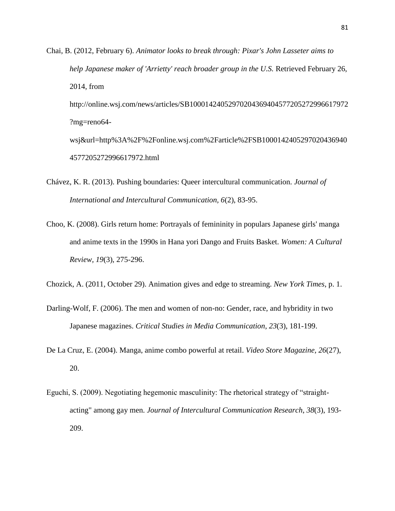Chai, B. (2012, February 6). *Animator looks to break through: Pixar's John Lasseter aims to help Japanese maker of 'Arrietty' reach broader group in the U.S.* Retrieved February 26, 2014, from

http://online.wsj.com/news/articles/SB10001424052970204369404577205272996617972 ?mg=reno64-

wsj&url=http%3A%2F%2Fonline.wsj.com%2Farticle%2FSB1000142405297020436940 4577205272996617972.html

- Chávez, K. R. (2013). Pushing boundaries: Queer intercultural communication. *Journal of International and Intercultural Communication, 6*(2), 83-95.
- Choo, K. (2008). Girls return home: Portrayals of femininity in populars Japanese girls' manga and anime texts in the 1990s in Hana yori Dango and Fruits Basket. *Women: A Cultural Review, 19*(3), 275-296.

Chozick, A. (2011, October 29). Animation gives and edge to streaming. *New York Times*, p. 1.

- Darling-Wolf, F. (2006). The men and women of non-no: Gender, race, and hybridity in two Japanese magazines. *Critical Studies in Media Communication*, *23*(3), 181-199.
- De La Cruz, E. (2004). Manga, anime combo powerful at retail. *Video Store Magazine, 26*(27), 20.
- Eguchi, S. (2009). Negotiating hegemonic masculinity: The rhetorical strategy of "straightacting" among gay men. *Journal of Intercultural Communication Research*, *38*(3), 193- 209.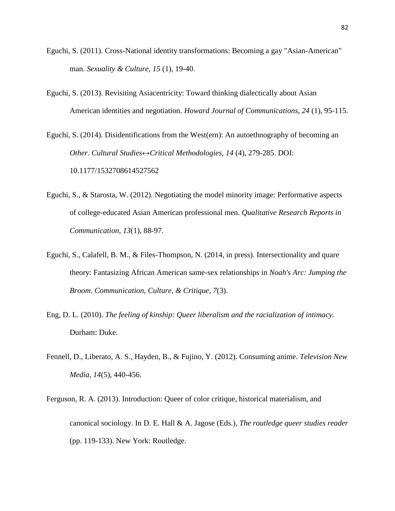- Eguchi, S. (2011). Cross-National identity transformations: Becoming a gay "Asian-American" man. *Sexuality & Culture, 15* (1), 19-40.
- Eguchi, S. (2013). Revisiting Asiacentricity: Toward thinking dialectically about Asian American identities and negotiation. *Howard Journal of Communications*, *24* (1), 95-115.
- Eguchi, S. (2014). Disidentifications from the West(ern): An autoethnography of becoming an *Other*. *Cultural Studies↔Critical Methodologies*, *14* (4), 279-285. DOI: 10.1177/1532708614527562
- Eguchi, S., & Starosta, W. (2012). Negotiating the model minority image: Performative aspects of college-educated Asian American professional men. *Qualitative Research Reports in Communication, 13*(1), 88-97.
- Eguchi, S., Calafell, B. M., & Files-Thompson, N. (2014, in press). Intersectionality and quare theory: Fantasizing African American same-sex relationships in *Noah's Arc: Jumping the Broom*. *Communication, Culture, & Critique, 7*(3).
- Eng, D. L. (2010). *The feeling of kinship: Queer liberalism and the racialization of intimacy.* Durham: Duke.
- Fennell, D., Liberato, A. S., Hayden, B., & Fujino, Y. (2012). Consuming anime. *Television New Media, 14*(5), 440-456.
- Ferguson, R. A. (2013). Introduction: Queer of color critique, historical materialism, and canonical sociology. In D. E. Hall & A. Jagose (Eds.), *The routledge queer studies reader* (pp. 119-133). New York: Routledge.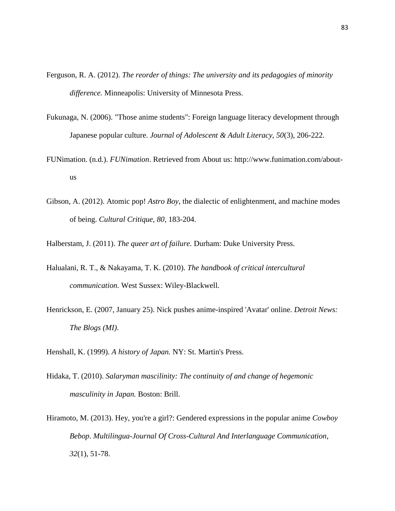- Ferguson, R. A. (2012). *The reorder of things: The university and its pedagogies of minority difference.* Minneapolis: University of Minnesota Press.
- Fukunaga, N. (2006). "Those anime students": Foreign language literacy development through Japanese popular culture. *Journal of Adolescent & Adult Literacy, 50*(3), 206-222.
- FUNimation. (n.d.). *FUNimation*. Retrieved from About us: http://www.funimation.com/aboutus
- Gibson, A. (2012). Atomic pop! *Astro Boy*, the dialectic of enlightenment, and machine modes of being. *Cultural Critique, 80*, 183-204.
- Halberstam, J. (2011). *The queer art of failure.* Durham: Duke University Press.
- Halualani, R. T., & Nakayama, T. K. (2010). *The handbook of critical intercultural communication.* West Sussex: Wiley-Blackwell.
- Henrickson, E. (2007, January 25). Nick pushes anime-inspired 'Avatar' online. *Detroit News: The Blogs (MI)*.
- Henshall, K. (1999). *A history of Japan.* NY: St. Martin's Press.
- Hidaka, T. (2010). *Salaryman mascilinity: The continuity of and change of hegemonic masculinity in Japan.* Boston: Brill.
- Hiramoto, M. (2013). Hey, you're a girl?: Gendered expressions in the popular anime *Cowboy Bebop*. *Multilingua-Journal Of Cross-Cultural And Interlanguage Communication*, *32*(1), 51-78.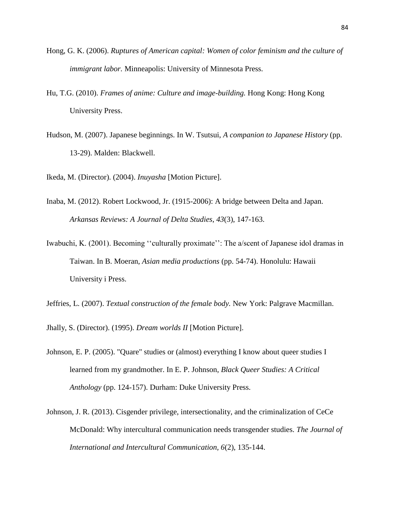- Hong, G. K. (2006). *Ruptures of American capital: Women of color feminism and the culture of immigrant labor.* Minneapolis: University of Minnesota Press.
- Hu, T.G. (2010). *Frames of anime: Culture and image-building.* Hong Kong: Hong Kong University Press.
- Hudson, M. (2007). Japanese beginnings. In W. Tsutsui, *A companion to Japanese History* (pp. 13-29). Malden: Blackwell.

Ikeda, M. (Director). (2004). *Inuyasha* [Motion Picture].

- Inaba, M. (2012). Robert Lockwood, Jr. (1915-2006): A bridge between Delta and Japan. *Arkansas Reviews: A Journal of Delta Studies*, *43*(3), 147-163.
- Iwabuchi, K. (2001). Becoming ''culturally proximate'': The a/scent of Japanese idol dramas in Taiwan. In B. Moeran, *Asian media productions* (pp. 54-74). Honolulu: Hawaii University i Press.
- Jeffries, L. (2007). *Textual construction of the female body.* New York: Palgrave Macmillan.

Jhally, S. (Director). (1995). *Dream worlds II* [Motion Picture].

- Johnson, E. P. (2005). "Quare" studies or (almost) everything I know about queer studies I learned from my grandmother. In E. P. Johnson, *Black Queer Studies: A Critical Anthology* (pp. 124-157). Durham: Duke University Press.
- Johnson, J. R. (2013). Cisgender privilege, intersectionality, and the criminalization of CeCe McDonald: Why intercultural communication needs transgender studies. *The Journal of International and Intercultural Communication, 6*(2), 135-144.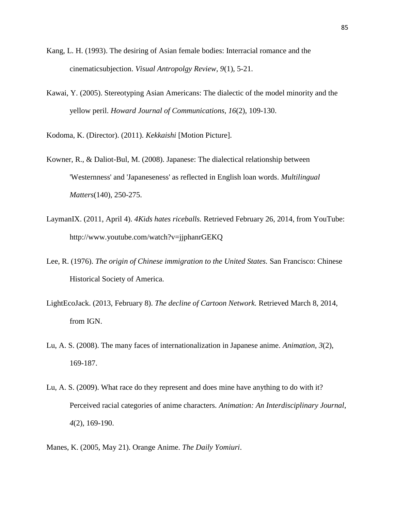- Kang, L. H. (1993). The desiring of Asian female bodies: Interracial romance and the cinematicsubjection. *Visual Antropolgy Review, 9*(1), 5-21.
- Kawai, Y. (2005). Stereotyping Asian Americans: The dialectic of the model minority and the yellow peril. *Howard Journal of Communications*, *16*(2), 109-130.

Kodoma, K. (Director). (2011). *Kekkaishi* [Motion Picture].

- Kowner, R., & Daliot-Bul, M. (2008). Japanese: The dialectical relationship between 'Westernness' and 'Japaneseness' as reflected in English loan words. *Multilingual Matters*(140), 250-275.
- LaymanIX. (2011, April 4). *4Kids hates riceballs.* Retrieved February 26, 2014, from YouTube: http://www.youtube.com/watch?v=jjphanrGEKQ
- Lee, R. (1976). *The origin of Chinese immigration to the United States.* San Francisco: Chinese Historical Society of America.
- LightEcoJack. (2013, February 8). *The decline of Cartoon Network.* Retrieved March 8, 2014, from IGN.
- Lu, A. S. (2008). The many faces of internationalization in Japanese anime. *Animation, 3*(2), 169-187.
- Lu, A. S. (2009). What race do they represent and does mine have anything to do with it? Perceived racial categories of anime characters. *Animation: An Interdisciplinary Journal*, *4*(2), 169-190.
- Manes, K. (2005, May 21). Orange Anime. *The Daily Yomiuri*.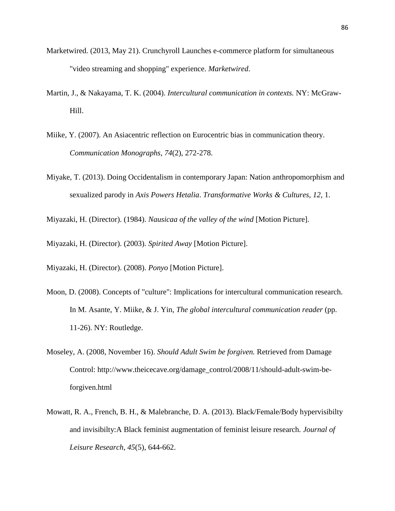- Marketwired. (2013, May 21). Crunchyroll Launches e-commerce platform for simultaneous "video streaming and shopping" experience. *Marketwired*.
- Martin, J., & Nakayama, T. K. (2004). *Intercultural communication in contexts.* NY: McGraw-Hill.
- Miike, Y. (2007). An Asiacentric reflection on Eurocentric bias in communication theory. *Communication Monographs*, *74*(2), 272-278.
- Miyake, T. (2013). Doing Occidentalism in contemporary Japan: Nation anthropomorphism and sexualized parody in *Axis Powers Hetalia*. *Transformative Works & Cultures, 12,* 1.

Miyazaki, H. (Director). (1984). *Nausicaa of the valley of the wind* [Motion Picture].

Miyazaki, H. (Director). (2003). *Spirited Away* [Motion Picture].

Miyazaki, H. (Director). (2008). *Ponyo* [Motion Picture].

- Moon, D. (2008). Concepts of "culture": Implications for intercultural communication research. In M. Asante, Y. Miike, & J. Yin, *The global intercultural communication reader* (pp. 11-26). NY: Routledge.
- Moseley, A. (2008, November 16). *Should Adult Swim be forgiven.* Retrieved from Damage Control: http://www.theicecave.org/damage\_control/2008/11/should-adult-swim-beforgiven.html
- Mowatt, R. A., French, B. H., & Malebranche, D. A. (2013). Black/Female/Body hypervisibilty and invisibilty:A Black feminist augmentation of feminist leisure research. *Journal of Leisure Research, 45*(5), 644-662.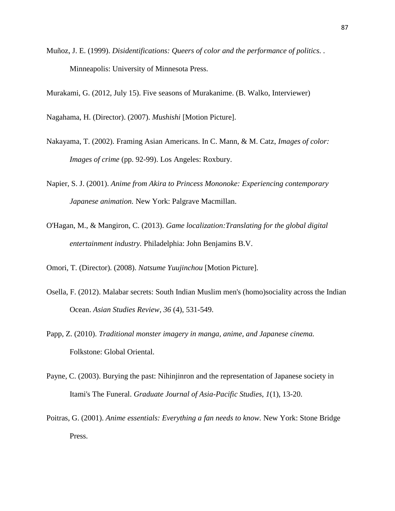Muñoz, J. E. (1999). *Disidentifications: Queers of color and the performance of politics. .* Minneapolis: University of Minnesota Press.

Murakami, G. (2012, July 15). Five seasons of Murakanime. (B. Walko, Interviewer)

Nagahama, H. (Director). (2007). *Mushishi* [Motion Picture].

- Nakayama, T. (2002). Framing Asian Americans. In C. Mann, & M. Catz, *Images of color: Images of crime* (pp. 92-99). Los Angeles: Roxbury.
- Napier, S. J. (2001). *Anime from Akira to Princess Mononoke: Experiencing contemporary Japanese animation.* New York: Palgrave Macmillan.
- O'Hagan, M., & Mangiron, C. (2013). *Game localization:Translating for the global digital entertainment industry.* Philadelphia: John Benjamins B.V.
- Omori, T. (Director). (2008). *Natsume Yuujinchou* [Motion Picture].
- Osella, F. (2012). Malabar secrets: South Indian Muslim men's (homo)sociality across the Indian Ocean. *Asian Studies Review*, *36* (4), 531-549.
- Papp, Z. (2010). *Traditional monster imagery in manga, anime, and Japanese cinema.* Folkstone: Global Oriental.
- Payne, C. (2003). Burying the past: Nihinjinron and the representation of Japanese society in Itami's The Funeral. *Graduate Journal of Asia-Pacific Studies*, *1*(1), 13-20.
- Poitras, G. (2001). *Anime essentials: Everything a fan needs to know.* New York: Stone Bridge Press.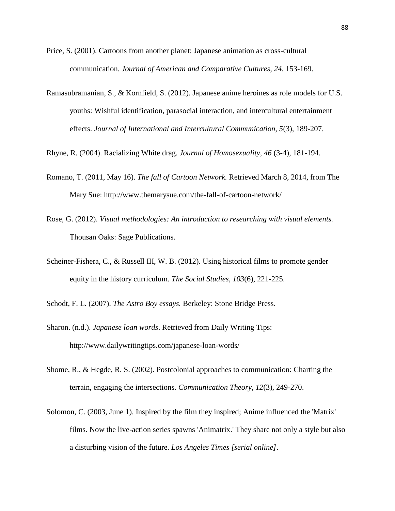- Price, S. (2001). Cartoons from another planet: Japanese animation as cross-cultural communication. *Journal of American and Comparative Cultures, 24*, 153-169.
- Ramasubramanian, S., & Kornfield, S. (2012). Japanese anime heroines as role models for U.S. youths: Wishful identification, parasocial interaction, and intercultural entertainment effects. *Journal of International and Intercultural Communication, 5*(3), 189-207.

Rhyne, R. (2004). Racializing White drag. *Journal of Homosexuality, 46* (3-4), 181-194.

- Romano, T. (2011, May 16). *The fall of Cartoon Network.* Retrieved March 8, 2014, from The Mary Sue: http://www.themarysue.com/the-fall-of-cartoon-network/
- Rose, G. (2012). *Visual methodologies: An introduction to researching with visual elements.* Thousan Oaks: Sage Publications.
- Scheiner-Fishera, C., & Russell III, W. B. (2012). Using historical films to promote gender equity in the history curriculum. *The Social Studies, 103*(6), 221-225.

Schodt, F. L. (2007). *The Astro Boy essays.* Berkeley: Stone Bridge Press.

- Sharon. (n.d.). *Japanese loan words*. Retrieved from Daily Writing Tips: http://www.dailywritingtips.com/japanese-loan-words/
- Shome, R., & Hegde, R. S. (2002). Postcolonial approaches to communication: Charting the terrain, engaging the intersections. *Communication Theory*, *12*(3), 249-270.
- Solomon, C. (2003, June 1). Inspired by the film they inspired; Anime influenced the 'Matrix' films. Now the live-action series spawns 'Animatrix.' They share not only a style but also a disturbing vision of the future. *Los Angeles Times [serial online]*.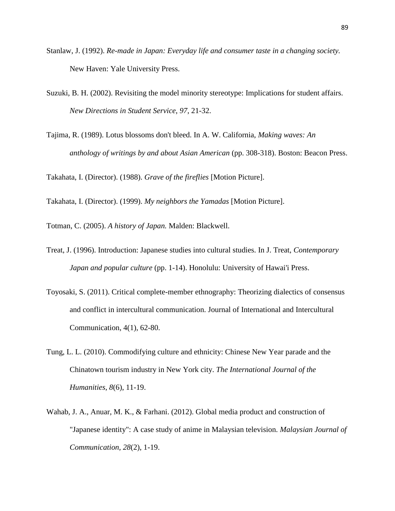- Stanlaw, J. (1992). *Re-made in Japan: Everyday life and consumer taste in a changing society.* New Haven: Yale University Press.
- Suzuki, B. H. (2002). Revisiting the model minority stereotype: Implications for student affairs. *New Directions in Student Service*, *97*, 21-32.
- Tajima, R. (1989). Lotus blossoms don't bleed. In A. W. California, *Making waves: An anthology of writings by and about Asian American* (pp. 308-318). Boston: Beacon Press.

Takahata, I. (Director). (1988). *Grave of the fireflies* [Motion Picture].

Takahata, I. (Director). (1999). *My neighbors the Yamadas* [Motion Picture].

Totman, C. (2005). *A history of Japan.* Malden: Blackwell.

- Treat, J. (1996). Introduction: Japanese studies into cultural studies. In J. Treat, *Contemporary Japan and popular culture* (pp. 1-14). Honolulu: University of Hawai'i Press.
- Toyosaki, S. (2011). Critical complete-member ethnography: Theorizing dialectics of consensus and conflict in intercultural communication. Journal of International and Intercultural Communication, 4(1), 62-80.
- Tung, L. L. (2010). Commodifying culture and ethnicity: Chinese New Year parade and the Chinatown tourism industry in New York city. *The International Journal of the Humanities*, *8*(6), 11-19.
- Wahab, J. A., Anuar, M. K., & Farhani. (2012). Global media product and construction of "Japanese identity": A case study of anime in Malaysian television. *Malaysian Journal of Communication, 28*(2), 1-19.